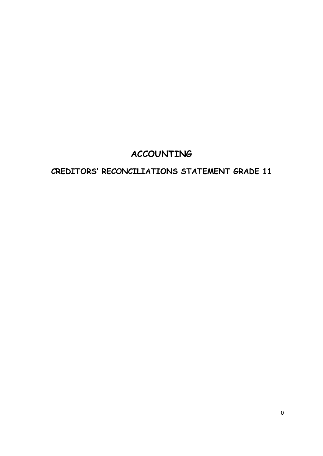# **ACCOUNTING**

# **CREDITORS' RECONCILIATIONS STATEMENT GRADE 11**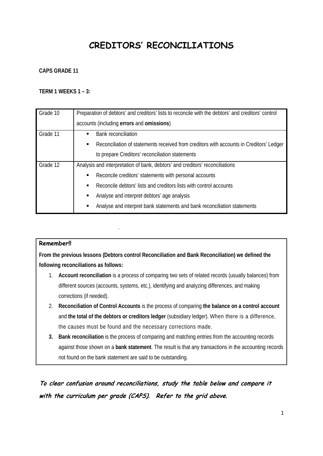# **CREDITORS' RECONCILIATIONS**

#### **CAPS GRADE 11**

#### **TERM 1 WEEKS 1 – 3:**

| Grade 10 | Preparation of debtors' and creditors' lists to reconcile with the debtors' and creditors' control |
|----------|----------------------------------------------------------------------------------------------------|
|          | accounts (including errors and omissions)                                                          |
| Grade 11 | <b>Bank reconciliation</b><br>$\blacksquare$                                                       |
|          | Reconciliation of statements received from creditors with accounts in Creditors' Ledger<br>٠       |
|          | to prepare Creditors' reconciliation statements                                                    |
| Grade 12 | Analysis and interpretation of bank, debtors' and creditors' reconciliations                       |
|          | Reconcile creditors' statements with personal accounts<br>٠                                        |
|          | Reconcile debtors' lists and creditors lists with control accounts<br>$\blacksquare$               |
|          | Analyse and interpret debtors' age analysis<br>٠                                                   |
|          | Analyse and interpret bank statements and bank reconciliation statements<br>$\blacksquare$         |

#### **Remember!!**

**From the previous lessons (Debtors control Reconciliation and Bank Reconciliation) we defined the following reconciliations as follows:**

- 1. **Account reconciliation** is a process of comparing two sets of related records (usually balances) from different sources (accounts, systems, etc.), identifying and analyzing differences, and making corrections (if needed).
- 2. **Reconciliation of Control Accounts** is the process of comparing **the balance on a control account** and **the total of the debtors or creditors ledger** (subsidiary ledger). When there is a difference, the causes must be found and the necessary corrections made.
- **3. Bank reconciliation** is the process of comparing and matching entries from the accounting records against those shown on a **bank statement**. The result is that any transactions in the accounting records not found on the bank statement are said to be outstanding.

To clear confusion around reconciliations, study the table below and compare it with the curriculum per grade (CAPS). Refer to the grid above.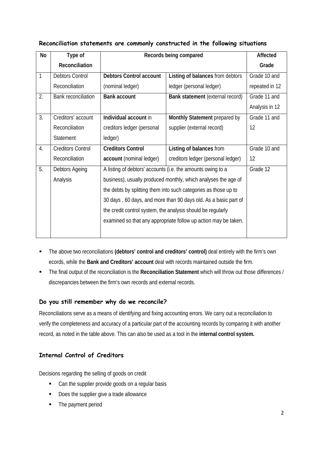| No               | Type of                    |                                                                 | Records being compared                                          |                |  |  |  |  |
|------------------|----------------------------|-----------------------------------------------------------------|-----------------------------------------------------------------|----------------|--|--|--|--|
|                  | Reconciliation             |                                                                 |                                                                 | Grade          |  |  |  |  |
| 1                | <b>Debtors Control</b>     | <b>Debtors Control account</b>                                  | Listing of balances from debtors                                | Grade 10 and   |  |  |  |  |
|                  | Reconciliation             | (nominal ledger)                                                | ledger (personal ledger)                                        | repeated in 12 |  |  |  |  |
| $\overline{2}$ . | <b>Bank reconciliation</b> | <b>Bank account</b>                                             | Bank statement (external record)                                | Grade 11 and   |  |  |  |  |
|                  |                            |                                                                 |                                                                 | Analysis in 12 |  |  |  |  |
| 3.               | Creditors' account         | Individual account in                                           | Grade 11 and                                                    |                |  |  |  |  |
|                  | Reconciliation             | creditors ledger (personal                                      | 12                                                              |                |  |  |  |  |
|                  | Statement                  | ledger)                                                         |                                                                 |                |  |  |  |  |
| 4.               | <b>Creditors Control</b>   | <b>Creditors Control</b>                                        | Listing of balances from                                        | Grade 10 and   |  |  |  |  |
|                  | Reconciliation             | account (nominal ledger)                                        | creditors ledger (personal ledger)                              | 12             |  |  |  |  |
| 5.               | Debtors Ageing             |                                                                 | A listing of debtors' accounts (i.e. the amounts owing to a     | Grade 12       |  |  |  |  |
|                  | Analysis                   |                                                                 | business), usually produced monthly, which analyses the age of  |                |  |  |  |  |
|                  |                            | the debts by splitting them into such categories as those up to |                                                                 |                |  |  |  |  |
|                  |                            | 30 days, 60 days, and more than 90 days old. As a basic part of |                                                                 |                |  |  |  |  |
|                  |                            | the credit control system, the analysis should be regularly     |                                                                 |                |  |  |  |  |
|                  |                            |                                                                 | examined so that any appropriate follow up action may be taken. |                |  |  |  |  |
|                  |                            |                                                                 |                                                                 |                |  |  |  |  |

### **Reconciliation statements are commonly constructed in the following situations**

- The above two reconciliations **(debtors' control and creditors' control)** deal entirely with the firm's own ecords, while the **Bank and Creditors' account** deal with records maintained outside the firm.
- The final output of the reconciliation is the **Reconciliation Statement** which will throw out those differences / discrepancies between the firm's own records and external records.

#### **Do you still remember why do we reconcile?**

Reconciliations serve as a means of identifying and fixing accounting errors. We carry out a reconciliation to verify the completeness and accuracy of a particular part of the accounting records by comparing it with another record, as noted in the table above. This can also be used as a tool in the **internal control system.**

### **Internal Control of Creditors**

Decisions regarding the selling of goods on credit

- Can the supplier provide goods on a regular basis
- Does the supplier give a trade allowance
- The payment period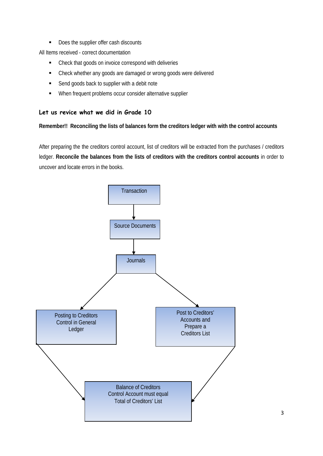Does the supplier offer cash discounts

All Items received - correct documentation

- Check that goods on invoice correspond with deliveries
- Check whether any goods are damaged or wrong goods were delivered
- Send goods back to supplier with a debit note
- **When frequent problems occur consider alternative supplier**

#### **Let us revice what we did in Grade 10**

#### **Remember!! Reconciling the lists of balances form the creditors ledger with with the control accounts**

After preparing the the creditors control account, list of creditors will be extracted from the purchases / creditors ledger. **Reconcile the balances from the lists of creditors with the creditors control accounts** in order to uncover and locate errors in the books.

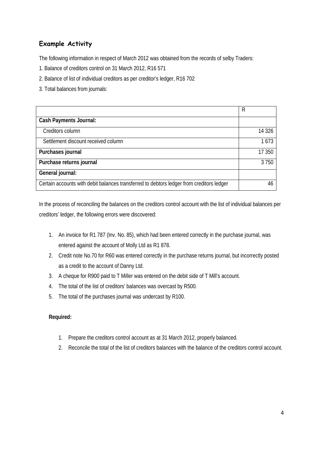## **Example Activity**

The following information in respect of March 2012 was obtained from the records of selby Traders:

- 1. Balance of creditors control on 31 March 2012, R16 571
- 2. Balance of list of individual creditors as per creditor's ledger, R16 702
- 3. Total balances from journals:

|                                                                                          | R       |
|------------------------------------------------------------------------------------------|---------|
| <b>Cash Payments Journal:</b>                                                            |         |
| Creditors column                                                                         | 14 3 26 |
| Settlement discount received column                                                      | 1673    |
| Purchases journal                                                                        | 17 350  |
| Purchase returns journal                                                                 | 3750    |
| General journal:                                                                         |         |
| Certain accounts with debit balances transferred to debtors ledger from creditors ledger | 46      |

In the process of reconciling the balances on the creditors control account with the list of individual balances per creditors' ledger, the following errors were discovered:

- 1. An invoice for R1 787 (Inv. No. 85), which had been entered correctly in the purchase journal, was entered against the account of Molly Ltd as R1 878.
- 2. Credit note No.70 for R60 was entered correctly in the purchase returns journal, but incorrectly posted as a credit to the account of Danny Ltd.
- 3. A cheque for R900 paid to T Miller was entered on the debit side of T Mill's account.
- 4. The total of the list of creditors' balances was overcast by R500.
- 5. The total of the purchases journal was undercast by R100.

#### **Required:**

- 1. Prepare the creditors control account as at 31 March 2012, properly balanced.
- 2. Reconcile the total of the list of creditors balances with the balance of the creditors control account.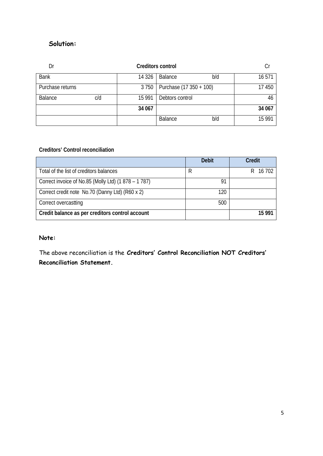## **Solution:**

| Dr               |     |         | <b>Creditors control</b> |        |        |
|------------------|-----|---------|--------------------------|--------|--------|
| <b>Bank</b>      |     | 14 3 26 | Balance<br>b/d           |        | 16 571 |
| Purchase returns |     | 3750    | Purchase (17 350 + 100)  | 17 450 |        |
| Balance          | c/d | 15 9 91 | Debtors control          | 46     |        |
|                  |     | 34 067  |                          |        | 34 067 |
|                  |     |         | Balance                  | b/d    | 15 991 |

#### **Creditors' Control reconciliation**

|                                                    | <b>Debit</b> | <b>Credit</b> |
|----------------------------------------------------|--------------|---------------|
| Total of the list of creditors balances            | R            | 16 702        |
| Correct invoice of No.85 (Molly Ltd) (1878 – 1787) | 91           |               |
| Correct credit note No.70 (Danny Ltd) (R60 x 2)    | 120          |               |
| Correct overcastting                               | 500          |               |
| Credit balance as per creditors control account    |              | 15 991        |

#### **Note:**

The above reconciliation is the **Creditors' Control Reconciliation NOT Creditors' Reconciliation Statement.**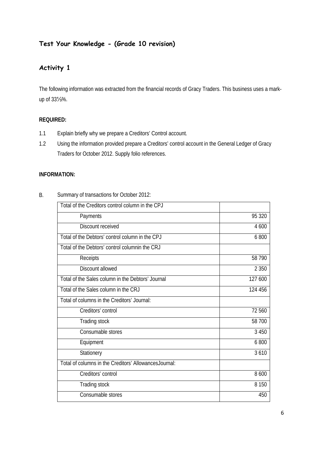## **Test Your Knowledge - (Grade 10 revision)**

## **Activity 1**

The following information was extracted from the financial records of Gracy Traders. This business uses a markup of 33⅓%.

#### **REQUIRED:**

- 1.1 Explain briefly why we prepare a Creditors' Control account.
- 1.2 Using the information provided prepare a Creditors' control account in the General Ledger of Gracy Traders for October 2012. Supply folio references.

#### **INFORMATION:**

| Total of the Creditors control column in the CPJ       |         |
|--------------------------------------------------------|---------|
| Payments                                               | 95 320  |
| Discount received                                      | 4 600   |
| Total of the Debtors' control column in the CPJ        | 6800    |
| Total of the Debtors' control columnin the CRJ         |         |
| Receipts                                               | 58 790  |
| Discount allowed                                       | 2 3 5 0 |
| Total of the Sales column in the Debtors' Journal      | 127 600 |
| Total of the Sales column in the CRJ                   | 124 456 |
| Total of columns in the Creditors' Journal:            |         |
| Creditors' control                                     | 72 560  |
| Trading stock                                          | 58 700  |
| Consumable stores                                      | 3 4 5 0 |
| Equipment                                              | 6800    |
| Stationery                                             | 3610    |
| Total of columns in the Creditors' Allowances Journal: |         |
| Creditors' control                                     | 8 600   |
| Trading stock                                          | 8 1 5 0 |
| Consumable stores                                      | 450     |

B. Summary of transactions for October 2012: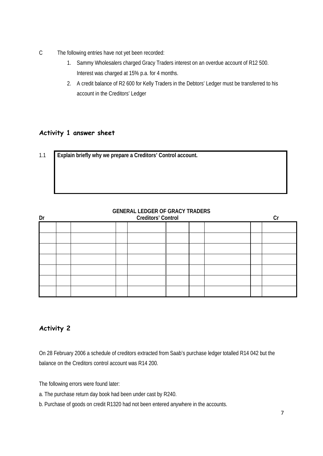- C The following entries have not yet been recorded:
	- 1. Sammy Wholesalers charged Gracy Traders interest on an overdue account of R12 500. Interest was charged at 15% p.a. for 4 months.
	- 2. A credit balance of R2 600 for Kelly Traders in the Debtors' Ledger must be transferred to his account in the Creditors' Ledger

### **Activity 1 answer sheet**

| 1.1 | Explain briefly why we prepare a Creditors' Control account. |
|-----|--------------------------------------------------------------|
|     |                                                              |
|     |                                                              |
|     |                                                              |
|     |                                                              |

| Dr |  |  | <b>OLIVERVIC LEDOLINOI ONVIOI TIVIDENS</b><br><b>Creditors' Control</b> |  |  |  |
|----|--|--|-------------------------------------------------------------------------|--|--|--|
|    |  |  |                                                                         |  |  |  |
|    |  |  |                                                                         |  |  |  |
|    |  |  |                                                                         |  |  |  |
|    |  |  |                                                                         |  |  |  |
|    |  |  |                                                                         |  |  |  |
|    |  |  |                                                                         |  |  |  |
|    |  |  |                                                                         |  |  |  |

## **GENERAL LEDGER OF GRACY TRADERS**

## **Activity 2**

On 28 February 2006 a schedule of creditors extracted from Saab's purchase ledger totalled R14 042 but the balance on the Creditors control account was R14 200.

The following errors were found later:

- a. The purchase return day book had been under cast by R240.
- b. Purchase of goods on credit R1320 had not been entered anywhere in the accounts.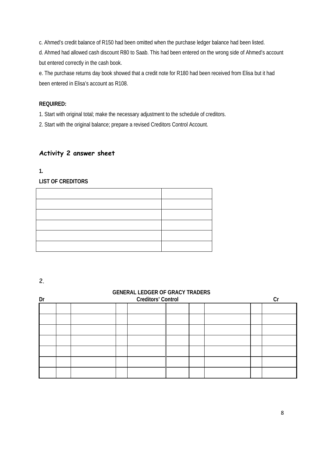c. Ahmed's credit balance of R150 had been omitted when the purchase ledger balance had been listed.

d. Ahmed had allowed cash discount R80 to Saab. This had been entered on the wrong side of Ahmed's account but entered correctly in the cash book.

e. The purchase returns day book showed that a credit note for R180 had been received from Elisa but it had been entered in Elisa's account as R108.

#### **REQUIRED:**

1. Start with original total; make the necessary adjustment to the schedule of creditors.

2. Start with the original balance; prepare a revised Creditors Control Account.

### **Activity 2 answer sheet**

**1.**

**LIST OF CREDITORS** 

2.

#### **GENERAL LEDGER OF GRACY TRADERS**

| Dr | <b>Creditors' Control</b> |  |  |  |  |  | Сı |
|----|---------------------------|--|--|--|--|--|----|
|    |                           |  |  |  |  |  |    |
|    |                           |  |  |  |  |  |    |
|    |                           |  |  |  |  |  |    |
|    |                           |  |  |  |  |  |    |
|    |                           |  |  |  |  |  |    |
|    |                           |  |  |  |  |  |    |
|    |                           |  |  |  |  |  |    |
|    |                           |  |  |  |  |  |    |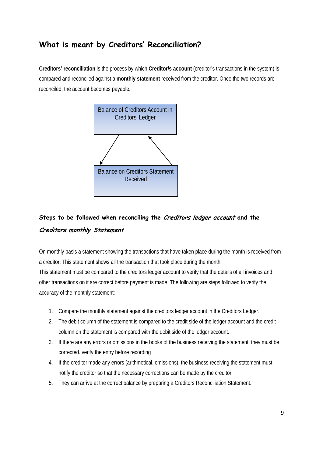## **What is meant by Creditors' Reconciliation?**

**Creditors' reconciliation** is the process by which **Creditor/s account** (creditor's transactions in the system) is compared and reconciled against a **monthly statement** received from the creditor. Once the two records are reconciled, the account becomes payable.



## **Steps to be followed when reconciling the** Creditors ledger account **and the**  Creditors monthly Statement

On monthly basis a statement showing the transactions that have taken place during the month is received from a creditor. This statement shows all the transaction that took place during the month. This statement must be compared to the creditors ledger account to verify that the details of all invoices and other transactions on it are correct before payment is made. The following are steps followed to verify the accuracy of the monthly statement:

- 1. Compare the monthly statement against the creditors ledger account in the Creditors Ledger.
- 2. The debit column of the statement is compared to the credit side of the ledger account and the credit column on the statement is compared with the debit side of the ledger account.
- 3. If there are any errors or omissions in the books of the business receiving the statement, they must be corrected. verify the entry before recording
- 4. If the creditor made any errors (arithmetical, omissions), the business receiving the statement must notify the creditor so that the necessary corrections can be made by the creditor.
- 5. They can arrive at the correct balance by preparing a Creditors Reconciliation Statement.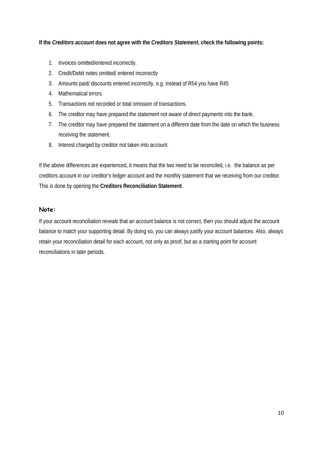#### **If the** *Creditors account* **does not agree with the** *Creditors Statement***, check the following points:**

- 1. Invoices omitted/entered incorrectly.
- 2. Credit/Debit notes omitted/ entered incorrectly
- 3. Amounts paid/ discounts entered incorrectly, e.g. instead of R54 you have R45
- 4. Mathematical errors.
- 5. Transactions not recorded or total omission of transactions.
- 6. The creditor may have prepared the statement not aware of direct payments into the bank.
- 7. The creditor may have prepared the statement on a different date from the date on which the business receiving the statement.
- 8. Interest charged by creditor not taken into account.

If the above differences are experienced, it means that the two need to be reconciled, i.e. the balance as per creditors account in our creditor's ledger account and the monthly statement that we receiving from our creditor. This is done by opening the **Creditors Reconciliation Statement**.

#### **Note:**

If your account reconciliation reveals that an account balance is not correct, then you should adjust the account balance to match your supporting detail. By doing so, you can always justify your account balances. Also, always retain your reconciliation detail for each account, not only as proof, but as a starting point for account reconciliations in later periods.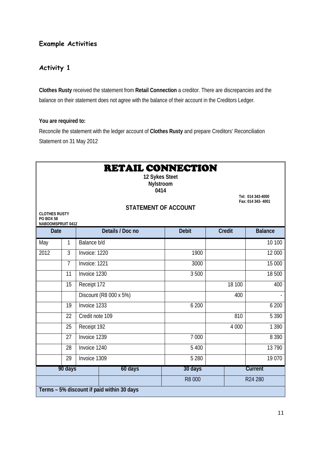## **Example Activities**

## **Activity 1**

**Clothes Rusty** received the statement from **Retail Connection** a creditor. There are discrepancies and the balance on their statement does not agree with the balance of their account in the Creditors Ledger.

#### **You are required to:**

Reconcile the statement with the ledger account of **Clothes Rusty** and prepare Creditors' Reconciliation Statement on 31 May 2012

| <b>RETAIL CONNECTION</b><br>12 Sykes Steet<br>Nylstroom<br>0414<br>Tel: 014 343-4000<br>Fax: 014 343-4001<br><b>STATEMENT OF ACCOUNT</b><br><b>CLOTHES RUSTY</b><br><b>PO BOX 58</b><br>NABOOMSPRUIT 0412 |                                            |                 |                        |              |               |                |  |  |  |
|-----------------------------------------------------------------------------------------------------------------------------------------------------------------------------------------------------------|--------------------------------------------|-----------------|------------------------|--------------|---------------|----------------|--|--|--|
| <b>Date</b>                                                                                                                                                                                               |                                            |                 | Details / Doc no       | <b>Debit</b> | <b>Credit</b> | <b>Balance</b> |  |  |  |
| May                                                                                                                                                                                                       | 1                                          | Balance b/d     |                        |              |               | 10 100         |  |  |  |
| $\overline{2012}$                                                                                                                                                                                         | 3                                          | Invoice: 1220   |                        | 1900         |               | 12 000         |  |  |  |
|                                                                                                                                                                                                           | 7                                          | Invoice: 1221   |                        | 3000         |               | 15 000         |  |  |  |
|                                                                                                                                                                                                           | 11                                         | Invoice 1230    |                        | 3 500        |               | 18 500         |  |  |  |
|                                                                                                                                                                                                           | 15                                         | Receipt 172     |                        |              | 18 100        | 400            |  |  |  |
|                                                                                                                                                                                                           |                                            |                 | Discount (R8 000 x 5%) |              | 400           |                |  |  |  |
|                                                                                                                                                                                                           | 19                                         | Invoice 1233    |                        | 6 200        |               | 6 200          |  |  |  |
|                                                                                                                                                                                                           | 22                                         | Credit note 109 |                        |              | 810           | 5 3 9 0        |  |  |  |
|                                                                                                                                                                                                           | 25                                         | Receipt 192     |                        |              | 4 0 0 0       | 1 3 9 0        |  |  |  |
|                                                                                                                                                                                                           | 27                                         | Invoice 1239    |                        | 7 000        |               | 8 3 9 0        |  |  |  |
|                                                                                                                                                                                                           | 28                                         | Invoice 1240    |                        | 5 400        | 13790         |                |  |  |  |
| Invoice 1309<br>5 2 8 0<br>19 0 70<br>29                                                                                                                                                                  |                                            |                 |                        |              |               |                |  |  |  |
|                                                                                                                                                                                                           | 90 days                                    |                 | 60 days                | 30 days      |               | Current        |  |  |  |
|                                                                                                                                                                                                           | R8 000<br>R24 280                          |                 |                        |              |               |                |  |  |  |
|                                                                                                                                                                                                           | Terms - 5% discount if paid within 30 days |                 |                        |              |               |                |  |  |  |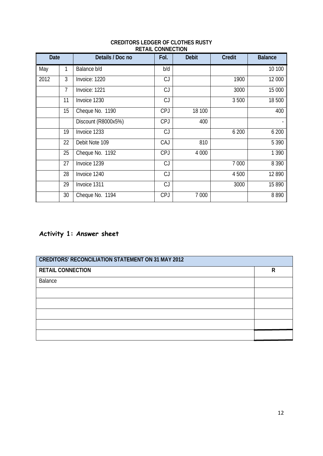| Date |    | Details / Doc no    | Fol.       | <b>Debit</b> | <b>Credit</b> | <b>Balance</b>    |
|------|----|---------------------|------------|--------------|---------------|-------------------|
| May  | 1  | Balance b/d         | b/d        |              |               | 10 100            |
| 2012 | 3  | Invoice: 1220       | CJ         |              | 1900          | 12 000            |
|      | 7  | Invoice: 1221       | CJ         |              | 3000          | 15 000            |
|      | 11 | Invoice 1230        | CJ         |              | 3500          | $\frac{1}{18}500$ |
|      | 15 | Cheque No. 1190     | <b>CPJ</b> | 18 100       |               | 400               |
|      |    | Discount (R8000x5%) | <b>CPJ</b> | 400          |               |                   |
|      | 19 | Invoice 1233        | CJ         |              | 6 200         | 6 200             |
|      | 22 | Debit Note 109      | CAJ        | 810          |               | 5 3 9 0           |
|      | 25 | Cheque No. 1192     | <b>CPJ</b> | 4 0 0 0      |               | 1 3 9 0           |
|      | 27 | Invoice 1239        | CJ         |              | 7 0 0 0       | 8 3 9 0           |
|      | 28 | Invoice 1240        | CJ         |              | 4 500         | 12 890            |
|      | 29 | Invoice 1311        | CJ         |              | 3000          | 15 8 9 0          |
|      | 30 | Cheque No. 1194     | <b>CPJ</b> | 7 000        |               | 8890              |

#### **CREDITORS LEDGER OF CLOTHES RUSTY RETAIL CONNECTION**

## **Activity 1: Answer sheet**

| <b>CREDITORS' RECONCILIATION STATEMENT ON 31 MAY 2012</b> |   |  |  |
|-----------------------------------------------------------|---|--|--|
| <b>RETAIL CONNECTION</b>                                  | R |  |  |
| Balance                                                   |   |  |  |
|                                                           |   |  |  |
|                                                           |   |  |  |
|                                                           |   |  |  |
|                                                           |   |  |  |
|                                                           |   |  |  |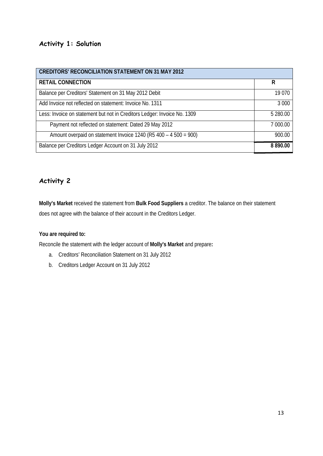## **Activity 1: Solution**

| <b>CREDITORS' RECONCILIATION STATEMENT ON 31 MAY 2012</b>                |             |
|--------------------------------------------------------------------------|-------------|
| <b>RETAIL CONNECTION</b>                                                 | R           |
| Balance per Creditors' Statement on 31 May 2012 Debit                    | 19 0 70     |
| Add Invoice not reflected on statement: Invoice No. 1311                 | 3 0 0 0     |
| Less: Invoice on statement but not in Creditors Ledger: Invoice No. 1309 | 5 280.00    |
| Payment not reflected on statement: Dated 29 May 2012                    | 7 000.00    |
| Amount overpaid on statement Invoice 1240 (R5 400 - 4 500 = 900)         | 900.00      |
| Balance per Creditors Ledger Account on 31 July 2012                     | 8 8 9 0.0 0 |

## **Activity 2**

**Molly's Market** received the statement from **Bulk Food Suppliers** a creditor. The balance on their statement does not agree with the balance of their account in the Creditors Ledger.

#### **You are required to:**

Reconcile the statement with the ledger account of **Molly's Market** and prepare**:**

- a. Creditors' Reconciliation Statement on 31 July 2012
- b. Creditors Ledger Account on 31 July 2012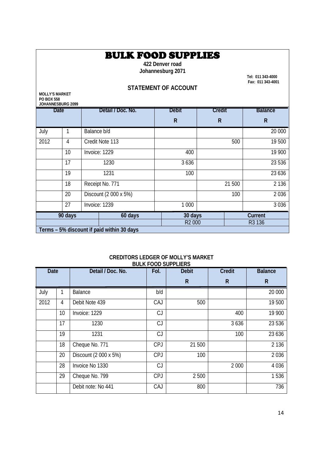## BULK FOOD SUPPLIES

**422 Denver road Johannesburg 2071** 

 **Fax: 011 343-4001**

### **STATEMENT OF ACCOUNT**

**MOLLY'S MARKET PO BOX 558**   $\overline{C}$  2009  $\overline{C}$ 

| JOHANNESBURG 2099 |         |                   |                                            |              |         |                              |                |              |
|-------------------|---------|-------------------|--------------------------------------------|--------------|---------|------------------------------|----------------|--------------|
| <b>Date</b>       |         | Detail / Doc. No. |                                            | <b>Debit</b> | Credit  |                              | <b>Balance</b> |              |
|                   |         |                   |                                            |              | R       | $\mathsf{R}$                 |                | $\mathsf{R}$ |
| July              |         | Balance b/d       |                                            |              |         |                              |                | 20 000       |
| 2012              | 4       |                   | Credit Note 113                            |              |         |                              | 500            | 19 500       |
|                   | 10      |                   | Invoice: 1229                              |              | 400     |                              |                | 19 900       |
|                   | 17      |                   | 1230                                       |              | 3636    |                              |                | 23 536       |
|                   | 19      |                   | 1231                                       |              | 100     |                              |                | 23 6 36      |
|                   | 18      |                   | Receipt No. 771                            |              |         |                              | 21 500         | 2 1 3 6      |
|                   | 20      |                   | Discount (2 000 x 5%)                      |              |         |                              | 100            | 2 0 3 6      |
|                   | 27      |                   | Invoice: 1239                              |              | 1 0 0 0 |                              |                | 3 0 3 6      |
|                   | 90 days |                   | 60 days                                    |              | 30 days |                              | Current        |              |
|                   |         |                   |                                            |              |         | R <sub>2</sub> 000<br>R3 136 |                |              |
|                   |         |                   | Terms - 5% discount if paid within 30 days |              |         |                              |                |              |

#### **CREDITORS LEDGER OF MOLLY'S MARKET BULK FOOD SUPPLIERS**

| Date |    | Detail / Doc. No.     | Fol.       | <b>Debit</b> | <b>Credit</b> | <b>Balance</b> |
|------|----|-----------------------|------------|--------------|---------------|----------------|
|      |    |                       |            | $\mathsf{R}$ | $\mathsf{R}$  | $\mathsf R$    |
| July | 1  | <b>Balance</b>        | b/d        |              |               | 20 000         |
| 2012 | 4  | Debit Note 439        | CAJ        | 500          |               | 19 500         |
|      | 10 | Invoice: 1229         | CJ         |              | 400           | 19 900         |
|      | 17 | 1230                  | CJ         |              | 3 6 3 6       | 23 5 36        |
|      | 19 | 1231                  | CJ         |              | 100           | 23 6 36        |
|      | 18 | Cheque No. 771        | <b>CPJ</b> | 21 500       |               | 2 1 3 6        |
|      | 20 | Discount (2 000 x 5%) | <b>CPJ</b> | 100          |               | 2036           |
|      | 28 | Invoice No 1330       | CJ         |              | 2 0 0 0       | 4 0 3 6        |
|      | 29 | Cheque No. 799        | <b>CPJ</b> | 2500         |               | 1536           |
|      |    | Debit note: No 441    | CAJ        | 800          |               | 736            |

14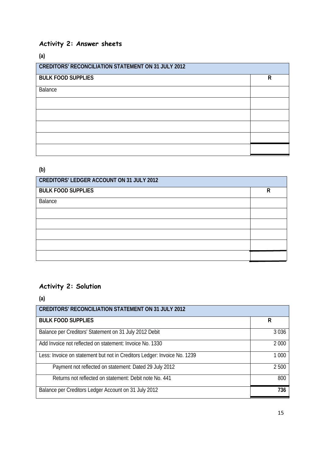## **Activity 2: Answer sheets**

**(a)**

| <b>CREDITORS' RECONCILIATION STATEMENT ON 31 JULY 2012</b> |   |  |  |
|------------------------------------------------------------|---|--|--|
| <b>BULK FOOD SUPPLIES</b>                                  | R |  |  |
| Balance                                                    |   |  |  |
|                                                            |   |  |  |
|                                                            |   |  |  |
|                                                            |   |  |  |
|                                                            |   |  |  |
|                                                            |   |  |  |

## **(b)**

| <b>CREDITORS' LEDGER ACCOUNT ON 31 JULY 2012</b> |   |  |  |
|--------------------------------------------------|---|--|--|
| <b>BULK FOOD SUPPLIES</b>                        | R |  |  |
| Balance                                          |   |  |  |
|                                                  |   |  |  |
|                                                  |   |  |  |
|                                                  |   |  |  |
|                                                  |   |  |  |
|                                                  |   |  |  |

## **Activity 2: Solution**

**(a)**

| <b>CREDITORS' RECONCILIATION STATEMENT ON 31 JULY 2012</b>               |         |
|--------------------------------------------------------------------------|---------|
| <b>BULK FOOD SUPPLIES</b>                                                | R       |
| Balance per Creditors' Statement on 31 July 2012 Debit                   | 3 0 3 6 |
| Add Invoice not reflected on statement: Invoice No. 1330                 | 2 0 0 0 |
| Less: Invoice on statement but not in Creditors Ledger: Invoice No. 1239 | 1 0 0 0 |
| Payment not reflected on statement: Dated 29 July 2012                   | 2 500   |
| Returns not reflected on statement: Debit note No. 441                   | 800     |
| Balance per Creditors Ledger Account on 31 July 2012                     | 736     |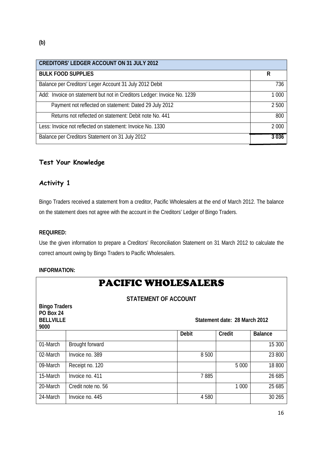| <b>CREDITORS' LEDGER ACCOUNT ON 31 JULY 2012</b>                        |         |
|-------------------------------------------------------------------------|---------|
| <b>BULK FOOD SUPPLIES</b>                                               | R       |
| Balance per Creditors' Leger Account 31 July 2012 Debit                 | 736     |
| Add: Invoice on statement but not in Creditors Ledger: Invoice No. 1239 | 1 0 0 0 |
| Payment not reflected on statement: Dated 29 July 2012                  | 2500    |
| Returns not reflected on statement: Debit note No. 441                  | 800     |
| Less: Invoice not reflected on statement: Invoice No. 1330              | 2 0 0 0 |
| Balance per Creditors Statement on 31 July 2012                         | 3 0 3 6 |

### **Test Your Knowledge**

## **Activity 1**

Bingo Traders received a statement from a creditor, Pacific Wholesalers at the end of March 2012. The balance on the statement does not agree with the account in the Creditors' Ledger of Bingo Traders.

#### **REQUIRED:**

Use the given information to prepare a Creditors' Reconciliation Statement on 31 March 2012 to calculate the correct amount owing by Bingo Traders to Pacific Wholesalers.

#### **INFORMATION:**

| <b>PACIFIC WHOLESALERS</b>  |                    |              |                               |                |  |
|-----------------------------|--------------------|--------------|-------------------------------|----------------|--|
| <b>STATEMENT OF ACCOUNT</b> |                    |              |                               |                |  |
| <b>Bingo Traders</b>        |                    |              |                               |                |  |
| PO Box 24                   |                    |              |                               |                |  |
| <b>BELLVILLE</b>            |                    |              | Statement date: 28 March 2012 |                |  |
| 9000                        |                    |              |                               |                |  |
|                             |                    | <b>Debit</b> | Credit                        | <b>Balance</b> |  |
| 01-March                    | Brought forward    |              |                               | 15 300         |  |
| 02-March                    | Invoice no. 389    | 8500         |                               | 23 800         |  |
| 09-March                    | Receipt no. 120    |              | 5 0 0 0                       | 18 800         |  |
| 15-March                    | Invoice no. 411    | 7885         |                               | 26 685         |  |
| 20-March                    | Credit note no. 56 |              | 1 0 0 0                       | 25 685         |  |
| 24-March                    | Invoice no. 445    | 4580         |                               | 30 265         |  |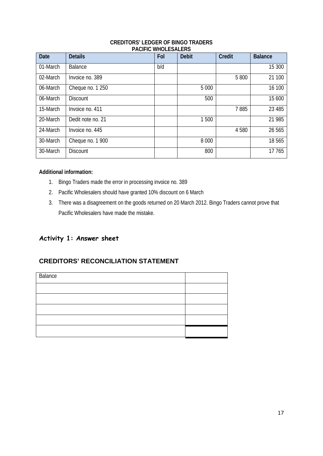#### **CREDITORS' LEDGER OF BINGO TRADERS PACIFIC WHOLESALERS**

| <b>Date</b> | <b>Details</b>    | Fol | <b>Debit</b> | <b>Credit</b> | <b>Balance</b> |
|-------------|-------------------|-----|--------------|---------------|----------------|
| 01-March    | <b>Balance</b>    | b/d |              |               | 15 300         |
| 02-March    | Invoice no. 389   |     |              | 5 800         | 21 100         |
| 06-March    | Cheque no. 1 250  |     | 5 0 0 0      |               | 16 100         |
| 06-March    | <b>Discount</b>   |     | 500          |               | 15 600         |
| 15-March    | Invoice no. 411   |     |              | 7885          | 23 4 8 5       |
| 20-March    | Dedit note no. 21 |     | 1500         |               | 21 985         |
| 24-March    | Invoice no. 445   |     |              | 4580          | 26 565         |
| 30-March    | Cheque no. 1900   |     | 8 0 0 0      |               | 18565          |
| 30-March    | <b>Discount</b>   |     | 800          |               | 17765          |

#### **Additional information:**

- 1. Bingo Traders made the error in processing invoice no. 389
- 2. Pacific Wholesalers should have granted 10% discount on 6 March
- 3. There was a disagreement on the goods returned on 20 March 2012. Bingo Traders cannot prove that Pacific Wholesalers have made the mistake.

## **Activity 1: Answer sheet**

## **CREDITORS' RECONCILIATION STATEMENT**

| Balance |  |
|---------|--|
|         |  |
|         |  |
|         |  |
|         |  |
|         |  |
|         |  |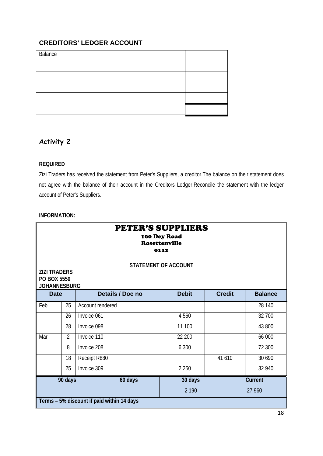## **CREDITORS' LEDGER ACCOUNT**

| Balance |  |
|---------|--|
|         |  |
|         |  |
|         |  |
|         |  |
|         |  |

## **Activity 2**

#### **REQUIRED**

Zizi Traders has received the statement from Peter's Suppliers, a creditor.The balance on their statement does not agree with the balance of their account in the Creditors Ledger.Reconcile the statement with the ledger account of Peter's Suppliers.

#### **INFORMATION:**

| <b>PETER'S SUPPLIERS</b><br>100 Dey Road<br><b>Rosettenville</b><br>0112<br><b>STATEMENT OF ACCOUNT</b><br><b>ZIZI TRADERS</b><br>PO BOX 5550<br><b>JOHANNESBURG</b> |                                                                                    |                  |         |         |  |        |         |  |
|----------------------------------------------------------------------------------------------------------------------------------------------------------------------|------------------------------------------------------------------------------------|------------------|---------|---------|--|--------|---------|--|
|                                                                                                                                                                      | Details / Doc no<br><b>Debit</b><br><b>Credit</b><br><b>Balance</b><br><b>Date</b> |                  |         |         |  |        |         |  |
| Feb                                                                                                                                                                  | 25                                                                                 | Account rendered |         |         |  |        | 28 140  |  |
|                                                                                                                                                                      | 26                                                                                 | Invoice 061      |         | 4560    |  |        | 32 700  |  |
|                                                                                                                                                                      | 28                                                                                 | Invoice 098      |         | 11 100  |  |        | 43 800  |  |
| Mar                                                                                                                                                                  | $\overline{2}$                                                                     | Invoice 110      |         | 22 200  |  |        | 66 000  |  |
|                                                                                                                                                                      | 8                                                                                  | Invoice 208      |         | 6 300   |  |        | 72 300  |  |
|                                                                                                                                                                      | 18                                                                                 | Receipt R880     |         |         |  | 41 610 | 30 690  |  |
|                                                                                                                                                                      | 25                                                                                 | Invoice 309      |         | 2 2 5 0 |  |        | 32 940  |  |
|                                                                                                                                                                      | 90 days                                                                            |                  | 60 days | 30 days |  |        | Current |  |
|                                                                                                                                                                      |                                                                                    |                  |         | 2 1 9 0 |  |        | 27 960  |  |
|                                                                                                                                                                      | Terms - 5% discount if paid within 14 days                                         |                  |         |         |  |        |         |  |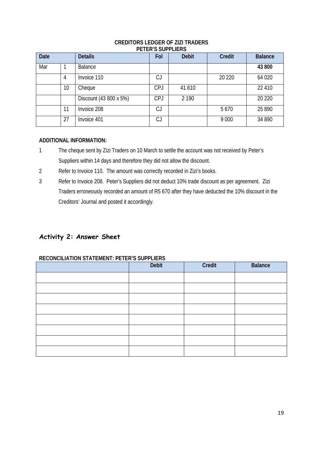| <b>Date</b> |    | <b>Details</b>         | Fol        | <b>Debit</b> | <b>Credit</b> | <b>Balance</b> |  |
|-------------|----|------------------------|------------|--------------|---------------|----------------|--|
| Mar         |    | <b>Balance</b>         |            |              |               | 43 800         |  |
|             | 4  | Invoice 110            | CJ         |              | 20 2 20       | 64 0 20        |  |
|             | 10 | Cheque                 | <b>CPJ</b> | 41 610       |               | 22 410         |  |
|             |    | Discount (43 800 x 5%) | <b>CPJ</b> | 2 1 9 0      |               | 20 220         |  |
|             | 11 | Invoice 208            | CJ         |              | 5670          | 25 8 9 0       |  |
|             | 27 | Invoice 401            | CJ         |              | 9 0 0 0       | 34 890         |  |

#### **CREDITORS LEDGER OF ZIZI TRADERS PETER'S SUPPLIERS**

#### **ADDITIONAL INFORMATION:**

- 1 The cheque sent by Zizi Traders on 10 March to settle the account was not received by Peter's Suppliers within 14 days and therefore they did not allow the discount.
- 2 Refer to Invoice 110. The amount was correctly recorded in Zizi's books.
- 3 Refer to Invoice 208. Peter's Suppliers did not deduct 10% trade discount as per agreement. Zizi Traders erroneously recorded an amount of R5 670 after they have deducted the 10% discount in the Creditors' Journal and posted it accordingly.

## **Activity 2: Answer Sheet**

#### **RECONCILIATION STATEMENT: PETER'S SUPPLIERS**

| Debit | Credit | <b>Balance</b> |
|-------|--------|----------------|
|       |        |                |
|       |        |                |
|       |        |                |
|       |        |                |
|       |        |                |
|       |        |                |
|       |        |                |
|       |        |                |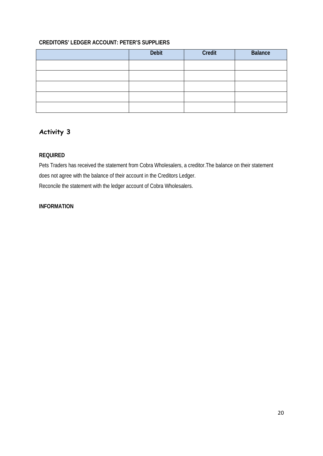#### **CREDITORS' LEDGER ACCOUNT: PETER'S SUPPLIERS**

| Debit | Credit | <b>Balance</b> |
|-------|--------|----------------|
|       |        |                |
|       |        |                |
|       |        |                |
|       |        |                |
|       |        |                |

## **Activity 3**

#### **REQUIRED**

Pets Traders has received the statement from Cobra Wholesalers, a creditor.The balance on their statement does not agree with the balance of their account in the Creditors Ledger. Reconcile the statement with the ledger account of Cobra Wholesalers.

#### **INFORMATION**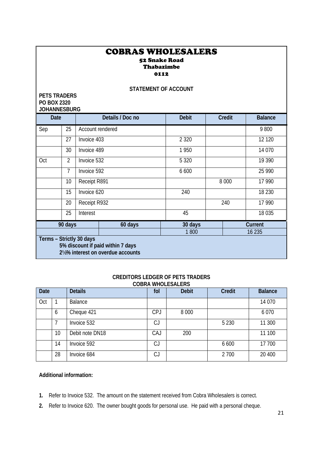#### COBRAS WHOLESALERS 52 Snake Road Thabazimbe 0112

#### **STATEMENT OF ACCOUNT**

| <b>PETS TRADERS</b><br>PO BOX 2320<br><b>JOHANNESBURG</b> |                                                                                                     |                  |                  |              |  |               |                |
|-----------------------------------------------------------|-----------------------------------------------------------------------------------------------------|------------------|------------------|--------------|--|---------------|----------------|
| <b>Date</b>                                               |                                                                                                     |                  | Details / Doc no | <b>Debit</b> |  | <b>Credit</b> | <b>Balance</b> |
| Sep                                                       | 25                                                                                                  | Account rendered |                  |              |  |               | 9800           |
|                                                           | 27                                                                                                  | Invoice 403      |                  | 2 3 2 0      |  |               | 12 1 20        |
|                                                           | 30                                                                                                  | Invoice 489      |                  | 1950         |  |               | 14 0 70        |
| Oct                                                       | $\overline{2}$                                                                                      | Invoice 532      |                  | 5 3 2 0      |  |               | 19 390         |
|                                                           | $\overline{7}$                                                                                      | Invoice 592      |                  | 6 600        |  |               | 25 990         |
|                                                           | 10                                                                                                  | Receipt R891     |                  |              |  | 8 0 0 0       | 17 990         |
|                                                           | 15                                                                                                  | Invoice 620      |                  | 240          |  |               | 18 2 30        |
|                                                           | 20                                                                                                  | Receipt R932     |                  |              |  | 240           | 17 990         |
|                                                           | 25                                                                                                  | Interest         |                  | 45           |  |               | 18 0 35        |
|                                                           | 90 days                                                                                             |                  | 60 days          | 30 days      |  |               | Current        |
| 1800<br>16 235                                            |                                                                                                     |                  |                  |              |  |               |                |
|                                                           | Terms - Strictly 30 days<br>5% discount if paid within 7 days<br>21/2% interest on overdue accounts |                  |                  |              |  |               |                |

#### **CREDITORS LEDGER OF PETS TRADERS COBRA WHOLESALERS**

| Date |    | <b>Details</b>  | fol | <b>Debit</b> | Credit  | <b>Balance</b> |
|------|----|-----------------|-----|--------------|---------|----------------|
| Oct  |    | <b>Balance</b>  |     |              |         | 14 0 70        |
|      | 6  | Cheque 421      | CPJ | 8 0 0 0      |         | 6070           |
|      |    | Invoice 532     | CJ  |              | 5 2 3 0 | 11 300         |
|      | 10 | Debit note DN18 | CAJ | 200          |         | 11 100         |
|      | 14 | Invoice 592     | CJ  |              | 6 600   | 17 700         |
|      | 28 | Invoice 684     | CJ  |              | 2 700   | 20 400         |

#### **Additional information:**

- **1.** Refer to Invoice 532. The amount on the statement received from Cobra Wholesalers is correct.
- **2.** Refer to Invoice 620. The owner bought goods for personal use. He paid with a personal cheque.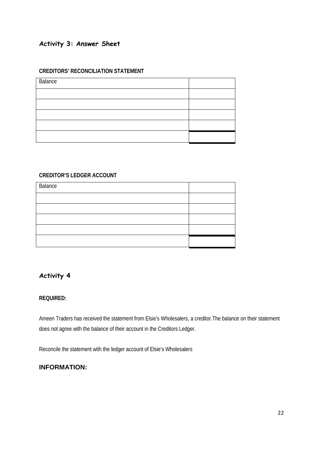## **Activity 3: Answer Sheet**

#### **CREDITORS' RECONCILIATION STATEMENT**

| Balance |  |
|---------|--|
|         |  |
|         |  |
|         |  |
|         |  |
|         |  |
|         |  |

#### **CREDITOR'S LEDGER ACCOUNT**

| Balance |  |
|---------|--|
|         |  |
|         |  |
|         |  |
|         |  |
|         |  |
|         |  |

## **Activity 4**

#### **REQUIRED:**

Ameen Traders has received the statement from Elsie's Wholesalers, a creditor.The balance on their statement does not agree with the balance of their account in the Creditors Ledger.

Reconcile the statement with the ledger account of Elsie's Wholesalers

#### **INFORMATION:**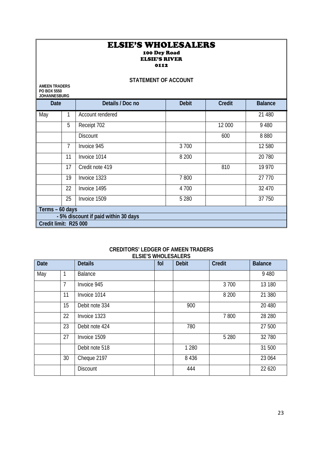#### ELSIE'S WHOLESALERS 100 Dey Road ELSIE'S RIVER 0112

| <b>STATEMENT OF ACCOUNT</b>                                |                |                                      |              |               |                |  |
|------------------------------------------------------------|----------------|--------------------------------------|--------------|---------------|----------------|--|
| <b>AMEEN TRADERS</b><br>PO BOX 5550<br><b>JOHANNESBURG</b> |                |                                      |              |               |                |  |
| <b>Date</b>                                                |                | Details / Doc no                     | <b>Debit</b> | <b>Credit</b> | <b>Balance</b> |  |
| May                                                        |                | Account rendered                     |              |               | 21 480         |  |
|                                                            | 5              | Receipt 702                          |              | 12 000        | 9 4 8 0        |  |
|                                                            |                | <b>Discount</b>                      |              | 600           | 8880           |  |
|                                                            | $\overline{7}$ | Invoice 945                          | 3700         |               | 12 5 8 0       |  |
|                                                            | 11             | Invoice 1014                         | 8 2 0 0      |               | 20 780         |  |
|                                                            | 17             | Credit note 419                      |              | 810           | 19 9 70        |  |
|                                                            | 19             | Invoice 1323                         | 7800         |               | 27 770         |  |
|                                                            | 22             | Invoice 1495                         | 4 700        |               | 32 470         |  |
|                                                            | 25             | Invoice 1509                         | 5 2 8 0      |               | 37 750         |  |
| Terms - 60 days                                            |                |                                      |              |               |                |  |
|                                                            |                | - 5% discount if paid within 30 days |              |               |                |  |
| Credit limit: R25 000                                      |                |                                      |              |               |                |  |

#### **CREDITORS' LEDGER OF AMEEN TRADERS ELSIE'S WHOLESALERS**

| <b>Date</b> |    | <b>Details</b>  | fol | <b>Debit</b> | Credit  | <b>Balance</b> |
|-------------|----|-----------------|-----|--------------|---------|----------------|
| May         |    | Balance         |     |              |         | 9 4 8 0        |
|             | 7  | Invoice 945     |     |              | 3 700   | 13 180         |
|             | 11 | Invoice 1014    |     |              | 8 2 0 0 | 21 380         |
|             | 15 | Debit note 334  |     | 900          |         | 20 480         |
|             | 22 | Invoice 1323    |     |              | 7800    | 28 280         |
|             | 23 | Debit note 424  |     | 780          |         | 27 500         |
|             | 27 | Invoice 1509    |     |              | 5 2 8 0 | 32 780         |
|             |    | Debit note 518  |     | 1 2 8 0      |         | 31 500         |
|             | 30 | Cheque 2197     |     | 8 4 3 6      |         | 23 064         |
|             |    | <b>Discount</b> |     | 444          |         | 22 6 20        |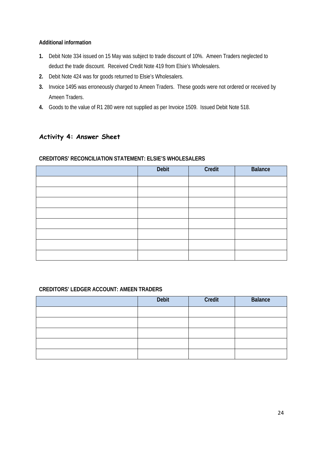#### **Additional information**

- **1.** Debit Note 334 issued on 15 May was subject to trade discount of 10%. Ameen Traders neglected to deduct the trade discount. Received Credit Note 419 from Elsie's Wholesalers.
- **2.** Debit Note 424 was for goods returned to Elsie's Wholesalers.
- **3.** Invoice 1495 was erroneously charged to Ameen Traders. These goods were not ordered or received by Ameen Traders.
- **4.** Goods to the value of R1 280 were not supplied as per Invoice 1509. Issued Debit Note 518.

## **Activity 4: Answer Sheet**

#### **CREDITORS' RECONCILIATION STATEMENT: ELSIE'S WHOLESALERS**

| Debit | Credit | <b>Balance</b> |
|-------|--------|----------------|
|       |        |                |
|       |        |                |
|       |        |                |
|       |        |                |
|       |        |                |
|       |        |                |
|       |        |                |
|       |        |                |

#### **CREDITORS' LEDGER ACCOUNT: AMEEN TRADERS**

| Debit | Credit | <b>Balance</b> |
|-------|--------|----------------|
|       |        |                |
|       |        |                |
|       |        |                |
|       |        |                |
|       |        |                |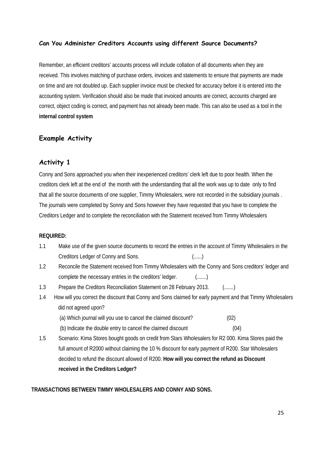#### **Can You Administer Creditors Accounts using different Source Documents?**

Remember, an efficient creditors' accounts process will include collation of all documents when they are received. This involves matching of purchase orders, invoices and statements to ensure that payments are made on time and are not doubled up. Each supplier invoice must be checked for accuracy before it is entered into the accounting system. Verification should also be made that invoiced amounts are correct, accounts charged are correct, object coding is correct, and payment has not already been made. This can also be used as a tool in the **internal control system**

#### **Example Activity**

#### **Activity 1**

Conny and Sons approached you when their inexperienced creditors' clerk left due to poor health. When the creditors clerk left at the end of the month with the understanding that all the work was up to date only to find that all the source documents of one supplier, Timmy Wholesalers, were not recorded in the subsidiary journals . The journals were completed by Sonny and Sons however they have requested that you have to complete the Creditors Ledger and to complete the reconciliation with the Statement received from Timmy Wholesalers

#### **REQUIRED:**

- 1.1 Make use of the given source documents to record the entries in the account of Timmy Wholesalers in the Creditors Ledger of Conny and Sons. (......)
- 1.2 Reconcile the Statement received from Timmy Wholesalers with the Conny and Sons creditors' ledger and complete the necessary entries in the creditors' ledger. (.......)
- 1.3 Prepare the Creditors Reconciliation Statement on 28 February 2013. (.......)
- 1.4 How will you correct the discount that Conny and Sons claimed for early payment and that Timmy Wholesalers did not agreed upon?
	- (a) Which journal will you use to cancel the claimed discount? (02)
	- (b) Indicate the double entry to cancel the claimed discount (04)
- 1.5 Scenario: Kima Stores bought goods on credit from Stars Wholesalers for R2 000. Kima Stores paid the full amount of R2000 without claiming the 10 % discount for early payment of R200. Star Wholesalers decided to refund the discount allowed of R200. **How will you correct the refund as Discount received in the Creditors Ledger?**

#### **TRANSACTIONS BETWEEN TIMMY WHOLESALERS AND CONNY AND SONS.**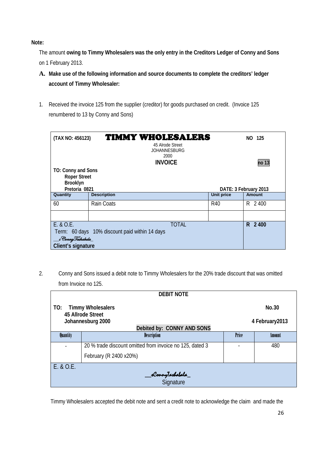**Note:** 

The amount **owing to Timmy Wholesalers was the only entry in the Creditors Ledger of Conny and Sons** on 1 February 2013.

- **A. Make use of the following information and source documents to complete the creditors' ledger account of Timmy Wholesaler:**
- 1. Received the invoice 125 from the supplier (creditor) for goods purchased on credit. (Invoice 125 renumbered to 13 by Conny and Sons)

|                                                                                                                          | <b>TIMMY WHOLESALERS</b><br>(TAX NO: 456123)<br>45 Alrode Street<br><b>JOHANNESBURG</b><br>2000<br><b>INVOICE</b> |  |                   | NO 125        |
|--------------------------------------------------------------------------------------------------------------------------|-------------------------------------------------------------------------------------------------------------------|--|-------------------|---------------|
| TO: Conny and Sons<br><b>Roper Street</b><br>Brooklyn<br>Pretoria 0821                                                   | no 13<br>DATE: 3 February 2013                                                                                    |  |                   |               |
| Quantity                                                                                                                 | <b>Description</b>                                                                                                |  | <b>Unit price</b> | <b>Amount</b> |
| 60                                                                                                                       | Rain Coats                                                                                                        |  | R40               | R 2400        |
|                                                                                                                          |                                                                                                                   |  |                   |               |
| E. & O.E.<br><b>TOTAL</b><br>Term: 60 days 10% discount paid within 14 days<br>__s ConnyTashabala_<br>Client's signature |                                                                                                                   |  |                   | R 2400        |

2. Conny and Sons issued a debit note to Timmy Wholesalers for the 20% trade discount that was omitted from Invoice no 125.

| <b>DEBIT NOTE</b>                                                  |                                                          |              |        |  |  |  |
|--------------------------------------------------------------------|----------------------------------------------------------|--------------|--------|--|--|--|
| TO:                                                                | <b>Timmy Wholesalers</b><br>No.30<br>45 Allrode Street   |              |        |  |  |  |
| Johannesburg 2000<br>4 February 2013<br>Debited by: CONNY AND SONS |                                                          |              |        |  |  |  |
| <b>Quantity</b>                                                    | <b>Description</b>                                       | <b>Price</b> | Amount |  |  |  |
|                                                                    | 20 % trade discount omitted from invoice no 125, dated 3 |              | 480    |  |  |  |
|                                                                    | February (R 2400 x20%)                                   |              |        |  |  |  |
| E. & O.E.                                                          |                                                          |              |        |  |  |  |
| <b>_dConnyTashabala_</b><br>Signature                              |                                                          |              |        |  |  |  |
|                                                                    |                                                          |              |        |  |  |  |

Timmy Wholesalers accepted the debit note and sent a credit note to acknowledge the claim and made the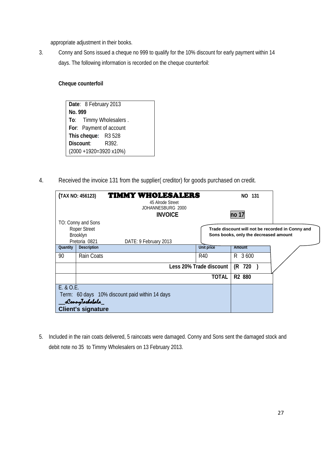appropriate adjustment in their books.

3. Conny and Sons issued a cheque no 999 to qualify for the 10% discount for early payment within 14 days. The following information is recorded on the cheque counterfoil:

#### **Cheque counterfoil**

**Date**: 8 February 2013 **No. 999 To**: Timmy Wholesalers . **For**: Payment of account **This cheque:** R3 528 **Discount**: R392. (2000 +1920=3920 x10%)

4. Received the invoice 131 from the supplier( creditor) for goods purchased on credit.

| (TAX NO: 456123) |                           | <b>TIMMY WHOLESALERS</b><br>45 Alrode Street   |                         | NO 131                                |                                                  |
|------------------|---------------------------|------------------------------------------------|-------------------------|---------------------------------------|--------------------------------------------------|
|                  |                           | JOHANNESBURG 2000<br><b>INVOICE</b>            |                         | no 17                                 |                                                  |
|                  | TO: Conny and Sons        |                                                |                         |                                       |                                                  |
|                  | <b>Roper Street</b>       |                                                |                         |                                       | Trade discount will not be recorded in Conny and |
|                  | Brooklyn                  |                                                |                         | Sons books, only the decreased amount |                                                  |
|                  | Pretoria 0821             | DATE: 9 February 2013                          |                         |                                       |                                                  |
| Quantity         | <b>Description</b>        |                                                | Unit price              | Amount                                |                                                  |
| 90               | Rain Coats                |                                                | R40                     | 3 600<br>R.                           |                                                  |
|                  |                           |                                                | Less 20% Trade discount | (R<br>720                             |                                                  |
|                  |                           |                                                | <b>TOTAL</b>            | R2 880                                |                                                  |
| E. & O.E.        |                           |                                                |                         |                                       |                                                  |
|                  |                           | Term: 60 days 10% discount paid within 14 days |                         |                                       |                                                  |
|                  | _sConnyTasbabala_         |                                                |                         |                                       |                                                  |
|                  | <b>Client's signature</b> |                                                |                         |                                       |                                                  |

5. Included in the rain coats delivered, 5 raincoats were damaged. Conny and Sons sent the damaged stock and debit note no 35 to Timmy Wholesalers on 13 February 2013.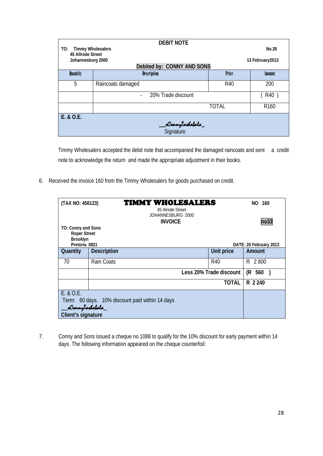| <b>DEBIT NOTE</b>               |                                        |              |                  |  |  |
|---------------------------------|----------------------------------------|--------------|------------------|--|--|
| <b>Timmy Wholesalers</b><br>TO: | No.35                                  |              |                  |  |  |
| 45 Allrode Street               |                                        |              |                  |  |  |
| Johannesburg 2000               |                                        |              | 13 February 2013 |  |  |
|                                 | Debited by: CONNY AND SONS             |              |                  |  |  |
| <b>Quantity</b>                 | <b>Description</b>                     | <b>Price</b> | Amount           |  |  |
| 5                               | Raincoats damaged                      | R40          | 200              |  |  |
|                                 | R40<br>20% Trade discount              |              |                  |  |  |
|                                 |                                        | TOTAL        | R <sub>160</sub> |  |  |
| E. & O.E.                       |                                        |              |                  |  |  |
|                                 |                                        |              |                  |  |  |
|                                 | _ <b>sConnyTashabala_</b><br>Signature |              |                  |  |  |

Timmy Wholesalers accepted the debit note that accompanied the damaged raincoats and sent a credit note to acknowledge the return and made the appropriate adjustment in their books.

6. Received the invoice 160 from the Timmy Wholesalers for goods purchased on credit.

| (TAX NO: 456123)                | <b>TIMMY WHOLESALERS</b><br>45 Alrode Street<br>JOHANNESBURG 2000<br><b>INVOICE</b> |                         | NO.<br>160<br>no33     |
|---------------------------------|-------------------------------------------------------------------------------------|-------------------------|------------------------|
| TO: Conny and Sons              |                                                                                     |                         |                        |
| <b>Roper Street</b><br>Brooklyn |                                                                                     |                         |                        |
| Pretoria 0821                   |                                                                                     |                         | DATE: 20 February 2013 |
| Quantity                        | <b>Description</b>                                                                  | Unit price              | Amount                 |
| 70                              | Rain Coats                                                                          | R40                     | 2800<br>R.             |
|                                 |                                                                                     | Less 20% Trade discount | (R<br>560              |
|                                 |                                                                                     | <b>TOTAL</b>            | R 2 240                |
| E. & O.E.                       |                                                                                     |                         |                        |
|                                 | Term: 60 days. 10% discount paid within 14 days                                     |                         |                        |
| _sConnyTasbabala_               |                                                                                     |                         |                        |
| Client's signature              |                                                                                     |                         |                        |

7. Conny and Sons issued a cheque no 1088 to qualify for the 10% discount for early payment within 14 days. The following information appeared on the cheque counterfoil: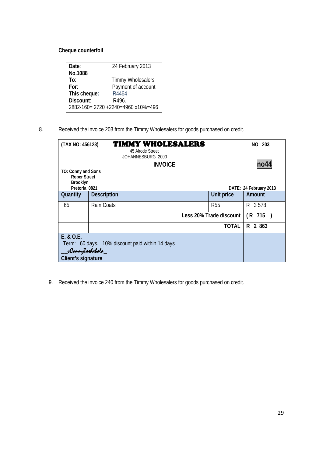#### **Cheque counterfoil**

| Date:        | 24 February 2013                |
|--------------|---------------------------------|
| No.1088      |                                 |
| To:          | <b>Timmy Wholesalers</b>        |
| For:         | Payment of account              |
| This cheque: | R4464                           |
| Discount:    | R496                            |
|              | 2882-160=2720+2240=4960x10%=496 |

8. Received the invoice 203 from the Timmy Wholesalers for goods purchased on credit.

| (TAX NO: 456123)                                                       | <b>TIMMY WHOLESALERS</b><br>45 Alrode Street<br>JOHANNESBURG 2000 |                         | NO 203                 |
|------------------------------------------------------------------------|-------------------------------------------------------------------|-------------------------|------------------------|
|                                                                        | <b>INVOICE</b>                                                    |                         | no44                   |
| TO: Conny and Sons<br><b>Roper Street</b><br>Brooklyn<br>Pretoria 0821 |                                                                   |                         | DATE: 24 February 2013 |
| Quantity                                                               | <b>Description</b>                                                | Unit price              | Amount                 |
| 65                                                                     | Rain Coats                                                        | <b>R55</b>              | R 3578                 |
|                                                                        |                                                                   | Less 20% Trade discount | $(R$ 715 $)$           |
|                                                                        |                                                                   | <b>TOTAL</b>            | R 2 863                |
| E. & O.E.                                                              |                                                                   |                         |                        |
| _sConnyTashabala_                                                      | Term: 60 days. 10% discount paid within 14 days                   |                         |                        |
| Client's signature                                                     |                                                                   |                         |                        |

9. Received the invoice 240 from the Timmy Wholesalers for goods purchased on credit.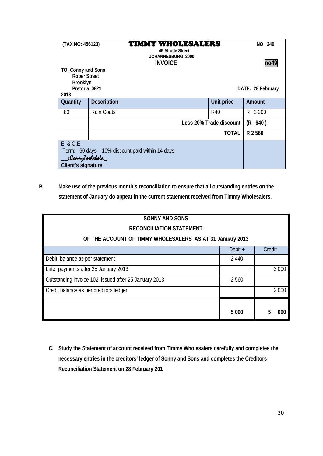| (TAX NO: 456123)                                                               | 45 Alrode Street<br>JOHANNESBURG 2000<br><b>INVOICE</b> | <b>TIMMY WHOLESALERS</b> |         |  |
|--------------------------------------------------------------------------------|---------------------------------------------------------|--------------------------|---------|--|
| TO: Conny and Sons<br><b>Roper Street</b><br>Brooklyn<br>Pretoria 0821<br>2013 | no49<br>DATE: 28 February                               |                          |         |  |
| Quantity                                                                       | <b>Description</b>                                      | Unit price               | Amount  |  |
| 80                                                                             | Rain Coats                                              | R40                      | R 3 200 |  |
|                                                                                |                                                         | Less 20% Trade discount  | (R 640) |  |
|                                                                                |                                                         | <b>TOTAL</b>             | R 2 560 |  |
| E. 8 O.E.                                                                      |                                                         |                          |         |  |
|                                                                                | Term: 60 days. 10% discount paid within 14 days         |                          |         |  |
| _sConnyTasbabala_                                                              |                                                         |                          |         |  |
| Client's signature                                                             |                                                         |                          |         |  |

**B. Make use of the previous month's reconciliation to ensure that all outstanding entries on the statement of January do appear in the current statement received from Timmy Wholesalers.**

| <b>SONNY AND SONS</b>                                     |           |          |  |  |
|-----------------------------------------------------------|-----------|----------|--|--|
| <b>RECONCILIATION STATEMENT</b>                           |           |          |  |  |
| OF THE ACCOUNT OF TIMMY WHOLESALERS AS AT 31 January 2013 |           |          |  |  |
|                                                           | Debit $+$ | Credit - |  |  |
| Debit balance as per statement                            | 2 4 4 0   |          |  |  |
| Late payments after 25 January 2013                       |           | 3 0 0 0  |  |  |
| Outstanding invoice 102 issued after 25 January 2013      | 2560      |          |  |  |
| Credit balance as per creditors ledger                    |           | 2 0 0 0  |  |  |
|                                                           |           |          |  |  |
|                                                           | 5 0 0 0   | 5<br>ooc |  |  |

**C. Study the Statement of account received from Timmy Wholesalers carefully and completes the necessary entries in the creditors' ledger of Sonny and Sons and completes the Creditors Reconciliation Statement on 28 February 201**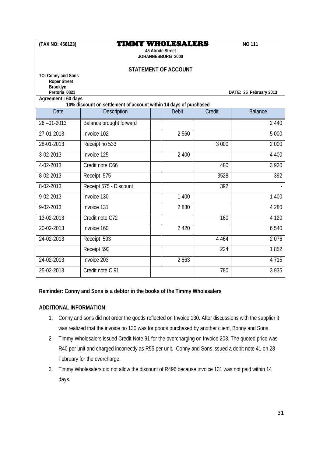| (TAX NO: 456123)                                                                                                                                      |                                                                                         | 45 Alrode Street | <b>TIMMY WHOLESALERS</b><br>JOHANNESBURG 2000 |         | <b>NO 111</b>  |  |  |
|-------------------------------------------------------------------------------------------------------------------------------------------------------|-----------------------------------------------------------------------------------------|------------------|-----------------------------------------------|---------|----------------|--|--|
| <b>STATEMENT OF ACCOUNT</b><br>TO: Conny and Sons<br><b>Roper Street</b><br>Brooklyn<br>Pretoria 0821<br>DATE: 25 February 2013<br>Agreement: 60 days |                                                                                         |                  |                                               |         |                |  |  |
| Date                                                                                                                                                  | 10% discount on settlement of account within 14 days of purchased<br><b>Description</b> |                  | <b>Debit</b>                                  | Credit  | <b>Balance</b> |  |  |
| $26 - 01 - 2013$                                                                                                                                      | Balance brought forward                                                                 |                  |                                               |         | 2 4 4 0        |  |  |
| 27-01-2013                                                                                                                                            | Invoice 102                                                                             |                  | 2 5 6 0                                       |         | 5 0 0 0        |  |  |
| 28-01-2013                                                                                                                                            | Receipt no 533                                                                          |                  |                                               | 3 0 0 0 | 2 0 0 0        |  |  |
| 3-02-2013                                                                                                                                             | Invoice 125                                                                             |                  | 2 400                                         |         | 4 4 0 0        |  |  |
| 4-02-2013                                                                                                                                             | Credit note C66                                                                         |                  |                                               | 480     | 3 9 2 0        |  |  |
| 8-02-2013                                                                                                                                             | Receipt 575                                                                             |                  |                                               | 3528    | 392            |  |  |
| 8-02-2013                                                                                                                                             | Receipt 575 - Discount                                                                  |                  |                                               | 392     |                |  |  |
| 9-02-2013                                                                                                                                             | Invoice 130                                                                             |                  | 1 400                                         |         | 1 400          |  |  |
| 9-02-2013                                                                                                                                             | Invoice 131                                                                             |                  | 2880                                          |         | 4 2 8 0        |  |  |
| 13-02-2013                                                                                                                                            | Credit note C72                                                                         |                  |                                               | 160     | 4 1 2 0        |  |  |
| 20-02-2013                                                                                                                                            | Invoice 160                                                                             |                  | 2 4 2 0                                       |         | 6540           |  |  |
| 24-02-2013                                                                                                                                            | Receipt 593                                                                             |                  |                                               | 4 4 6 4 | 2076           |  |  |
|                                                                                                                                                       | Receipt 593                                                                             |                  |                                               | 224     | 1852           |  |  |
| 24-02-2013                                                                                                                                            | Invoice 203                                                                             |                  | 2863                                          |         | 4 7 1 5        |  |  |
| 25-02-2013                                                                                                                                            | Credit note C 91                                                                        |                  |                                               | 780     | 3 9 3 5        |  |  |

#### **Reminder: Conny and Sons is a debtor in the books of the Timmy Wholesalers**

#### **ADDITIONAL INFORMATION:**

- 1. Conny and sons did not order the goods reflected on Invoice 130. After discussions with the supplier it was realized that the invoice no 130 was for goods purchased by another client, Bonny and Sons.
- 2. Timmy Wholesalers issued Credit Note 91 for the overcharging on Invoice 203. The quoted price was R40 per unit and charged incorrectly as R55 per unit. Conny and Sons issued a debit note 41 on 28 February for the overcharge.
- 3. Timmy Wholesalers did not allow the discount of R496 because invoice 131 was not paid within 14 days.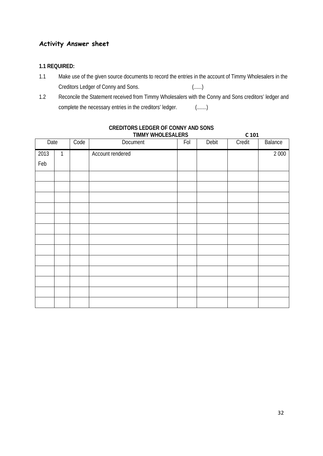## **Activity Answer sheet**

#### **1.1 REQUIRED:**

- 1.1 Make use of the given source documents to record the entries in the account of Timmy Wholesalers in the Creditors Ledger of Conny and Sons. (......)
- 1.2 Reconcile the Statement received from Timmy Wholesalers with the Conny and Sons creditors' ledger and complete the necessary entries in the creditors' ledger. (.......)

| Date |   | Code | Document         | Fol | Debit | Credit | Balance |
|------|---|------|------------------|-----|-------|--------|---------|
| 2013 | 1 |      | Account rendered |     |       |        | 2 0 0 0 |
| Feb  |   |      |                  |     |       |        |         |
|      |   |      |                  |     |       |        |         |
|      |   |      |                  |     |       |        |         |
|      |   |      |                  |     |       |        |         |
|      |   |      |                  |     |       |        |         |
|      |   |      |                  |     |       |        |         |
|      |   |      |                  |     |       |        |         |
|      |   |      |                  |     |       |        |         |
|      |   |      |                  |     |       |        |         |
|      |   |      |                  |     |       |        |         |
|      |   |      |                  |     |       |        |         |
|      |   |      |                  |     |       |        |         |
|      |   |      |                  |     |       |        |         |
|      |   |      |                  |     |       |        |         |

#### **CREDITORS LEDGER OF CONNY AND SONS TIMMY WHOLESALERS C 101**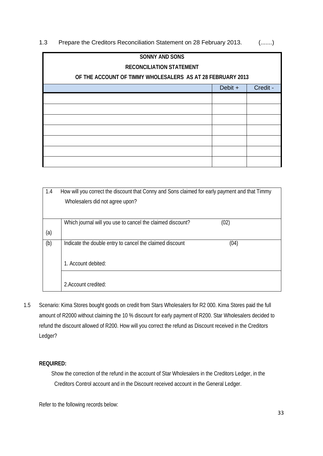1.3 Prepare the Creditors Reconciliation Statement on 28 February 2013. (.......)

| <b>SONNY AND SONS</b>                                      |         |          |  |  |
|------------------------------------------------------------|---------|----------|--|--|
| <b>RECONCILIATION STATEMENT</b>                            |         |          |  |  |
| OF THE ACCOUNT OF TIMMY WHOLESALERS AS AT 28 FEBRUARY 2013 |         |          |  |  |
|                                                            | Debit + | Credit - |  |  |
|                                                            |         |          |  |  |
|                                                            |         |          |  |  |
|                                                            |         |          |  |  |
|                                                            |         |          |  |  |
|                                                            |         |          |  |  |
|                                                            |         |          |  |  |
|                                                            |         |          |  |  |

| 1.4 | How will you correct the discount that Conny and Sons claimed for early payment and that Timmy<br>Wholesalers did not agree upon? |
|-----|-----------------------------------------------------------------------------------------------------------------------------------|
|     | (02)<br>Which journal will you use to cancel the claimed discount?                                                                |
| (a) |                                                                                                                                   |
| (b) | Indicate the double entry to cancel the claimed discount<br>(04)                                                                  |
|     | 1. Account debited:                                                                                                               |
|     |                                                                                                                                   |
|     | 2. Account credited:                                                                                                              |

1.5 Scenario: Kima Stores bought goods on credit from Stars Wholesalers for R2 000. Kima Stores paid the full amount of R2000 without claiming the 10 % discount for early payment of R200. Star Wholesalers decided to refund the discount allowed of R200. How will you correct the refund as Discount received in the Creditors Ledger?

#### **REQUIRED:**

Show the correction of the refund in the account of Star Wholesalers in the Creditors Ledger, in the Creditors Control account and in the Discount received account in the General Ledger.

Refer to the following records below: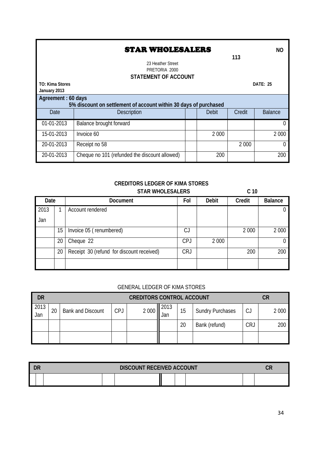### **STAR WHOLESALERS** NO

**113**

23 Heather Street PRETORIA 2000

#### **STATEMENT OF ACCOUNT**

| <b>TO: Kima Stores</b> | <b>DATE: 25</b>                                                  |  |              |         |                |  |  |
|------------------------|------------------------------------------------------------------|--|--------------|---------|----------------|--|--|
| January 2013           |                                                                  |  |              |         |                |  |  |
| Agreement: 60 days     |                                                                  |  |              |         |                |  |  |
|                        | 5% discount on settlement of account within 30 days of purchased |  |              |         |                |  |  |
| Date                   | <b>Description</b>                                               |  | <b>Debit</b> | Credit  | <b>Balance</b> |  |  |
| 01-01-2013             | Balance brought forward                                          |  |              |         | $\Omega$       |  |  |
| 15-01-2013             | Invoice 60                                                       |  | 2 0 0 0      |         | 2 0 0 0        |  |  |
| 20-01-2013             | Receipt no 58                                                    |  |              | 2 0 0 0 | $\Omega$       |  |  |
| 20-01-2013             | Cheque no 101 (refunded the discount allowed)                    |  | 200          |         | 200            |  |  |

#### **CREDITORS LEDGER OF KIMA STORES** STAR WHOLESALERS C 10

| Date |                  | <b>Document</b>                           | Fol        | Debit   | Credit  | <b>Balance</b> |
|------|------------------|-------------------------------------------|------------|---------|---------|----------------|
| 2013 |                  | Account rendered                          |            |         |         |                |
| Jan  |                  |                                           |            |         |         |                |
|      | 15 <sup>15</sup> | Invoice 05 (renumbered)                   | CJ         |         | 2 0 0 0 | 2 0 0 0        |
|      | 20               | Cheque 22                                 | <b>CPJ</b> | 2 0 0 0 |         | 0              |
|      | 20               | Receipt 30 (refund for discount received) | <b>CRJ</b> |         | 200     | 200            |
|      |                  |                                           |            |         |         |                |

#### GENERAL LEDGER OF KIMA STORES

| <b>DR</b>   | <b>CREDITORS CONTROL ACCOUNT</b> |                          |            |         |             |    | СR                      |     |         |
|-------------|----------------------------------|--------------------------|------------|---------|-------------|----|-------------------------|-----|---------|
| 2013<br>Jan | 20                               | <b>Bank and Discount</b> | <b>CPJ</b> | 2 0 0 0 | 2013<br>Jan | 15 | <b>Sundry Purchases</b> |     | 2 0 0 0 |
|             |                                  |                          |            |         |             | 20 | Bank (refund)           | CRJ | 200     |
|             |                                  |                          |            |         |             |    |                         |     |         |

| DR | <b>DISCOUNT RECEIVED ACCOUNT</b> |  |  |  |  |  |  |
|----|----------------------------------|--|--|--|--|--|--|
|    |                                  |  |  |  |  |  |  |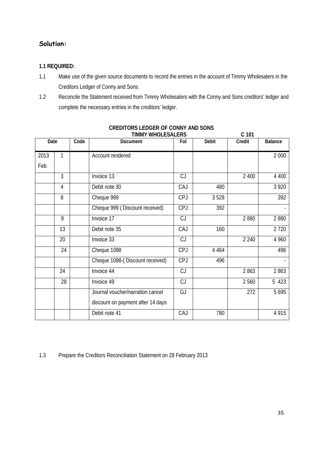## **Solution:**

#### **1.1 REQUIRED:**

- 1.1 Make use of the given source documents to record the entries in the account of Timmy Wholesalers in the Creditors Ledger of Conny and Sons.
- 1.2 Reconcile the Statement received from Timmy Wholesalers with the Conny and Sons creditors' ledger and complete the necessary entries in the creditors' ledger.

|      |                |      | <b>TIMMY WHOLESALERS</b>          |            |              | C <sub>101</sub> |         |
|------|----------------|------|-----------------------------------|------------|--------------|------------------|---------|
| Date |                | Code | Document                          | Fol        | <b>Debit</b> | Credit           | Balance |
| 2013 | 1              |      | Account rendered                  |            |              |                  | 2 0 0 0 |
| Feb  |                |      |                                   |            |              |                  |         |
|      | 3              |      | Invoice 13                        | CJ         |              | 2 400            | 4 4 0 0 |
|      | $\overline{4}$ |      | Debit note 30                     | CAJ        | 480          |                  | 3 9 2 0 |
|      | 8              |      | Cheque 999                        | <b>CPJ</b> | 3528         |                  | 392     |
|      |                |      | Cheque 999 (Discount received)    | <b>CPJ</b> | 392          |                  |         |
|      | 9              |      | Invoice 17                        | CJ         |              | 2880             | 2880    |
|      | 13             |      | Debit note 35                     | CAJ        | 160          |                  | 2 7 2 0 |
|      | 20             |      | Invoice 33                        | CJ         |              | 2 2 4 0          | 4 9 6 0 |
|      | 24             |      | Cheque 1088                       | <b>CPJ</b> | 4 4 6 4      |                  | 496     |
|      |                |      | Cheque 1088-(Discount received)   | <b>CPJ</b> | 496          |                  |         |
|      | 24             |      | Invoice 44                        | CJ         |              | 2863             | 2863    |
|      | 28             |      | Invoice 49                        | CJ         |              | 2 5 6 0          | 5 423   |
|      |                |      | Journal voucher/narration cancel  | GJ         |              | 272              | 5 6 9 5 |
|      |                |      | discount on payment after 14 days |            |              |                  |         |
|      |                |      | Debit note 41                     | CAJ        | 780          |                  | 4 9 1 5 |

## **CREDITORS LEDGER OF CONNY AND SONS**

1.3 Prepare the Creditors Reconciliation Statement on 28 February 2013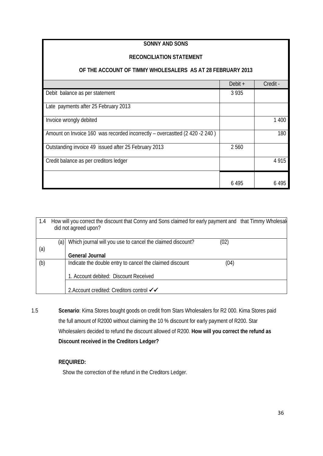#### **SONNY AND SONS**

#### **RECONCILIATION STATEMENT**

#### **OF THE ACCOUNT OF TIMMY WHOLESALERS AS AT 28 FEBRUARY 2013**

|                                                                              | Debit $+$ | Credit - |
|------------------------------------------------------------------------------|-----------|----------|
| Debit balance as per statement                                               | 3935      |          |
| Late payments after 25 February 2013                                         |           |          |
| Invoice wrongly debited                                                      |           | 1 400    |
| Amount on Invoice 160 was recorded incorrectly - overcastted (2 420 - 2 240) |           | 180      |
| Outstanding invoice 49 issued after 25 February 2013                         | 2560      |          |
| Credit balance as per creditors ledger                                       |           | 4915     |
|                                                                              | 6495      | 6 495    |

| 1.4 |       | How will you correct the discount that Conny and Sons claimed for early payment and that Timmy Wholesal<br>did not agreed upon? |      |  |
|-----|-------|---------------------------------------------------------------------------------------------------------------------------------|------|--|
|     | (a) I | Which journal will you use to cancel the claimed discount?                                                                      | (02) |  |
| (a) |       |                                                                                                                                 |      |  |
|     |       | <b>General Journal</b>                                                                                                          |      |  |
| (b) |       | Indicate the double entry to cancel the claimed discount                                                                        | (04) |  |
|     |       | 1. Account debited: Discount Received                                                                                           |      |  |
|     |       | 2. Account credited: Creditors control √√                                                                                       |      |  |

1.5 **Scenario**: Kima Stores bought goods on credit from Stars Wholesalers for R2 000. Kima Stores paid the full amount of R2000 without claiming the 10 % discount for early payment of R200. Star Wholesalers decided to refund the discount allowed of R200. **How will you correct the refund as Discount received in the Creditors Ledger?**

#### **REQUIRED:**

Show the correction of the refund in the Creditors Ledger.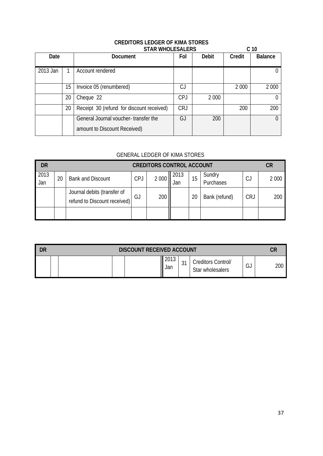# **CREDITORS LEDGER OF KIMA STORES**

|          |    | <b>STAR WHOLESALERS</b>                                              |            |              |         | C <sub>10</sub> |
|----------|----|----------------------------------------------------------------------|------------|--------------|---------|-----------------|
| Date     |    | <b>Document</b>                                                      |            | <b>Debit</b> | Credit  | <b>Balance</b>  |
| 2013 Jan |    | Account rendered                                                     |            |              |         |                 |
|          | 15 | Invoice 05 (renumbered)                                              | C.         |              | 2 0 0 0 | 2 0 0 0         |
|          | 20 | Cheque 22                                                            | <b>CPJ</b> | 2 0 0 0      |         |                 |
|          | 20 | Receipt 30 (refund for discount received)                            | <b>CRJ</b> |              | 200     | 200             |
|          |    | General Journal voucher-transfer the<br>amount to Discount Received) | GJ         | 200          |         |                 |

## GENERAL LEDGER OF KIMA STORES

| DR          | <b>CREDITORS CONTROL ACCOUNT</b> |                                                             |            |         |             |    |                     | CR         |         |
|-------------|----------------------------------|-------------------------------------------------------------|------------|---------|-------------|----|---------------------|------------|---------|
| 2013<br>Jan | 20                               | <b>Bank and Discount</b>                                    | <b>CPJ</b> | 2 0 0 0 | 2013<br>Jan | 15 | Sundry<br>Purchases | C.         | 2 0 0 0 |
|             |                                  | Journal debits (transfer of<br>refund to Discount received) | GJ         | 200     |             | 20 | Bank (refund)       | <b>CRJ</b> | 200     |
|             |                                  |                                                             |            |         |             |    |                     |            |         |

| DR<br><b>DISCOUNT RECEIVED ACCOUNT</b> |  |             |                 |                                        | CR           |     |
|----------------------------------------|--|-------------|-----------------|----------------------------------------|--------------|-----|
|                                        |  | 2013<br>Jan | $\sim$<br>່ ປ່າ | Creditors Control/<br>Star wholesalers | $\sim$<br>ىت | 200 |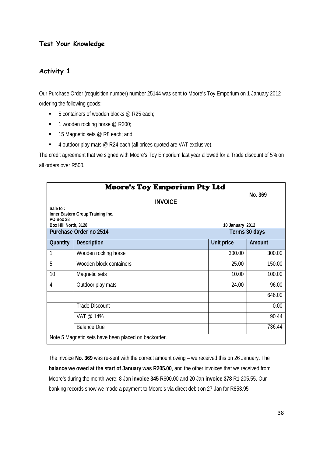## **Test Your Knowledge**

## **Activity 1**

Our Purchase Order (requisition number) number 25144 was sent to Moore's Toy Emporium on 1 January 2012 ordering the following goods:

- $\blacksquare$  5 containers of wooden blocks @ R25 each;
- $\blacksquare$  1 wooden rocking horse @ R300;
- $\blacksquare$  15 Magnetic sets @ R8 each; and
- 4 outdoor play mats @ R24 each (all prices quoted are VAT exclusive).

The credit agreement that we signed with Moore's Toy Emporium last year allowed for a Trade discount of 5% on all orders over R500.

|                      | <b>Moore's Toy Emporium Pty Ltd</b>                 |                 |               |
|----------------------|-----------------------------------------------------|-----------------|---------------|
|                      | <b>INVOICE</b>                                      |                 | No. 369       |
| Sale to:             |                                                     |                 |               |
| <b>PO Box 28</b>     | Inner Eastern Group Training Inc.                   |                 |               |
| Box Hill North, 3128 |                                                     | 10 January 2012 |               |
|                      | Purchase Order no 2514                              |                 | Terms 30 days |
| Quantity             | <b>Description</b>                                  | Unit price      | Amount        |
| 1                    | Wooden rocking horse                                | 300.00          | 300.00        |
| 5                    | Wooden block containers                             | 25.00           | 150.00        |
| 10                   | Magnetic sets                                       | 10.00           | 100.00        |
| 4                    | Outdoor play mats                                   | 24.00           | 96.00         |
|                      |                                                     |                 | 646.00        |
|                      | <b>Trade Discount</b>                               |                 | 0.00          |
|                      | VAT @ 14%                                           |                 | 90.44         |
|                      | <b>Balance Due</b>                                  |                 | 736.44        |
|                      | Note 5 Magnetic sets have been placed on backorder. |                 |               |

The invoice **No. 369** was re-sent with the correct amount owing – we received this on 26 January. The **balance we owed at the start of January was R205.00**, and the other invoices that we received from Moore's during the month were: 8 Jan **invoice 345** R600.00 and 20 Jan **invoice 378** R1 205.55. Our banking records show we made a payment to Moore's via direct debit on 27 Jan for R853.95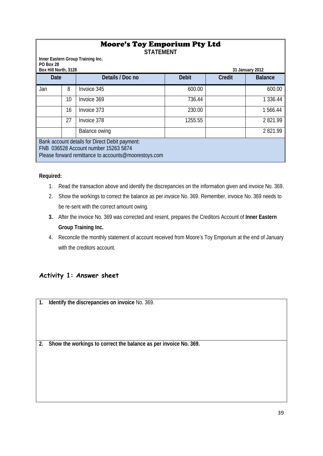|                                                    | <b>Moore's Toy Emporium Pty Ltd</b><br><b>STATEMENT</b>                                                                                        |               |         |  |                |  |  |  |
|----------------------------------------------------|------------------------------------------------------------------------------------------------------------------------------------------------|---------------|---------|--|----------------|--|--|--|
| PO Box 28                                          | Inner Eastern Group Training Inc.<br>Box Hill North, 3128<br>31 January 2012                                                                   |               |         |  |                |  |  |  |
| Details / Doc no<br><b>Debit</b><br>Date<br>Credit |                                                                                                                                                |               |         |  | <b>Balance</b> |  |  |  |
| Jan                                                | 8                                                                                                                                              | Invoice 345   | 600.00  |  | 600.00         |  |  |  |
|                                                    | 10                                                                                                                                             | Invoice 369   | 736.44  |  | 1 3 3 6 . 4 4  |  |  |  |
|                                                    | 16                                                                                                                                             | Invoice 373   | 230.00  |  | 1 566.44       |  |  |  |
|                                                    | 27                                                                                                                                             | Invoice 378   | 1255.55 |  | 2821.99        |  |  |  |
|                                                    |                                                                                                                                                | Balance owing |         |  | 2821.99        |  |  |  |
|                                                    | Bank account details for Direct Debit payment:<br>FNB 036528 Account number 15263 5874<br>Please forward remittance to accounts@moorestoys.com |               |         |  |                |  |  |  |

#### **Required:**

- 1. Read the transaction above and identify the discrepancies on the information given and invoice No. 369.
- 2. Show the workings to correct the balance as per invoice No. 369. Remember, invoice No. 369 needs to be re-sent with the correct amount owing.
- **3.** After the invoice No. 369 was corrected and resent, prepares the Creditors Account of **Inner Eastern Group Training Inc.**
- 4. Reconcile the monthly statement of account received from Moore's Toy Emporium at the end of January with the creditors account.

## **Activity 1: Answer sheet**

**1. Identify the discrepancies on invoice** No. 369.

**2. Show the workings to correct the balance as per invoice No. 369.**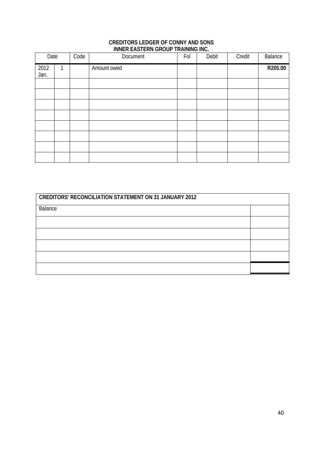#### **CREDITORS LEDGER OF CONNY AND SONS INNER EASTERN GROUP TRAINING INC.**

| Date         |   | Code | Document    | Fol | Debit | Credit | Balance |
|--------------|---|------|-------------|-----|-------|--------|---------|
| 2012<br>Jan. | 1 |      | Amount owed |     |       |        | R205.00 |
|              |   |      |             |     |       |        |         |
|              |   |      |             |     |       |        |         |
|              |   |      |             |     |       |        |         |
|              |   |      |             |     |       |        |         |
|              |   |      |             |     |       |        |         |
|              |   |      |             |     |       |        |         |
|              |   |      |             |     |       |        |         |
|              |   |      |             |     |       |        |         |

| <b>CREDITORS' RECONCILIATION STATEMENT ON 31 JANUARY 2012</b> |  |  |  |  |
|---------------------------------------------------------------|--|--|--|--|
| Balance                                                       |  |  |  |  |
|                                                               |  |  |  |  |
|                                                               |  |  |  |  |
|                                                               |  |  |  |  |
|                                                               |  |  |  |  |
|                                                               |  |  |  |  |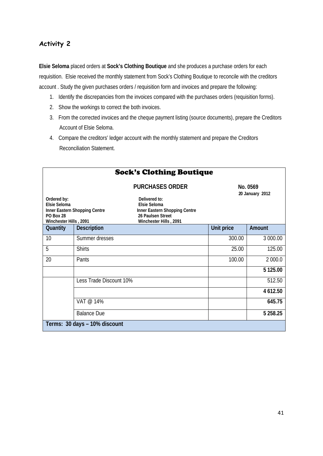## **Activity 2**

**Elsie Seloma** placed orders at **Sock's Clothing Boutique** and she produces a purchase orders for each requisition. Elsie received the monthly statement from Sock's Clothing Boutique to reconcile with the creditors account . Study the given purchases orders / requisition form and invoices and prepare the following:

- 1. Identify the discrepancies from the invoices compared with the purchases orders (requisition forms).
- 2. Show the workings to correct the both invoices.
- 3. From the corrected invoices and the cheque payment listing (source documents), prepare the Creditors Account of Elsie Seloma.
- 4. Compare the creditors' ledger account with the monthly statement and prepare the Creditors Reconciliation Statement.

|                                          | <b>Sock's Clothing Boutique</b>                                                                                                                |                             |             |  |  |  |
|------------------------------------------|------------------------------------------------------------------------------------------------------------------------------------------------|-----------------------------|-------------|--|--|--|
| Ordered by:<br>Elsie Seloma<br>PO Box 28 | <b>PURCHASES ORDER</b><br>Delivered to:<br>Elsie Seloma<br>Inner Eastern Shopping Centre<br>Inner Eastern Shopping Centre<br>26 Paulsen Street | No. 0569<br>20 January 2012 |             |  |  |  |
| Winchester Hills, 2091                   | Winchester Hills, 2091                                                                                                                         |                             |             |  |  |  |
| Quantity                                 | <b>Description</b>                                                                                                                             | Unit price                  | Amount      |  |  |  |
| 10                                       | Summer dresses                                                                                                                                 | 300.00                      | 3 000.00    |  |  |  |
| 5                                        | <b>Shirts</b>                                                                                                                                  | 25.00                       | 125.00      |  |  |  |
| 20                                       | Pants                                                                                                                                          | 100.00                      | 2 000.0     |  |  |  |
|                                          |                                                                                                                                                |                             | 5 125.00    |  |  |  |
|                                          | Less Trade Discount 10%                                                                                                                        |                             | 512.50      |  |  |  |
|                                          |                                                                                                                                                |                             | 4 612.50    |  |  |  |
|                                          | VAT @ 14%                                                                                                                                      |                             | 645.75      |  |  |  |
|                                          | <b>Balance Due</b>                                                                                                                             |                             | 5 2 5 8.2 5 |  |  |  |
|                                          | Terms: 30 days - 10% discount                                                                                                                  |                             |             |  |  |  |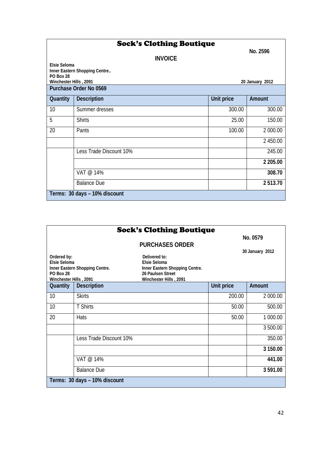|                        | No. 2596                      |            |                 |  |  |  |
|------------------------|-------------------------------|------------|-----------------|--|--|--|
|                        | <b>INVOICE</b>                |            |                 |  |  |  |
| <b>FIsie Seloma</b>    |                               |            |                 |  |  |  |
| <b>PO Box 28</b>       | Inner Eastern Shopping Centre |            |                 |  |  |  |
| Winchester Hills, 2091 |                               |            | 20 January 2012 |  |  |  |
|                        | Purchase Order No 0569        |            |                 |  |  |  |
| Quantity               | <b>Description</b>            | Unit price | Amount          |  |  |  |
| 10                     | Summer dresses                | 300.00     | 300.00          |  |  |  |
| 5                      | <b>Shirts</b>                 | 25.00      | 150.00          |  |  |  |
| 20                     | Pants                         | 100.00     | 2 000.00        |  |  |  |
|                        |                               |            | 2 450.00        |  |  |  |
|                        | Less Trade Discount 10%       |            | 245.00          |  |  |  |
|                        |                               |            | 2 205.00        |  |  |  |
|                        | VAT @ 14%                     |            | 308.70          |  |  |  |
|                        | <b>Balance Due</b>            |            | 2513.70         |  |  |  |
|                        | Terms: 30 days - 10% discount |            |                 |  |  |  |

|                                    |                                | <b>Sock's Clothing Boutique</b>      |            |                 |
|------------------------------------|--------------------------------|--------------------------------------|------------|-----------------|
|                                    |                                |                                      |            | No. 0579        |
|                                    |                                | <b>PURCHASES ORDER</b>               |            |                 |
|                                    |                                |                                      |            | 30 January 2012 |
| Ordered by:<br><b>Flsie Seloma</b> |                                | Delivered to:<br><b>Flsie Seloma</b> |            |                 |
|                                    | Inner Eastern Shopping Centre. | Inner Eastern Shopping Centre.       |            |                 |
| <b>PO Box 28</b>                   |                                | 26 Paulsen Street                    |            |                 |
| Winchester Hills, 2091             |                                | Winchester Hills, 2091               |            |                 |
| Quantity                           | <b>Description</b>             |                                      | Unit price | Amount          |
| 10                                 | <b>Skirts</b>                  |                                      | 200.00     | 2 000.00        |
| 10                                 | T Shirts                       |                                      | 50.00      | 500.00          |
| 20                                 | Hats                           |                                      | 50.00      | 1 000.00        |
|                                    |                                |                                      |            | 3 500.00        |
|                                    | Less Trade Discount 10%        |                                      |            | 350.00          |
|                                    |                                |                                      |            | 3 150.00        |
|                                    | VAT @ 14%                      |                                      |            | 441.00          |
|                                    | <b>Balance Due</b>             |                                      |            | 3 591.00        |
|                                    | Terms: 30 days - 10% discount  |                                      |            |                 |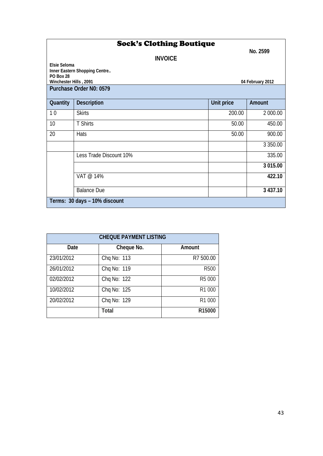|                        | <b>Sock's Clothing Boutique</b> |            |                  |
|------------------------|---------------------------------|------------|------------------|
|                        | <b>INVOICE</b>                  |            | No. 2599         |
| Elsie Seloma           | Inner Eastern Shopping Centre   |            |                  |
| <b>PO Box 28</b>       |                                 |            |                  |
| Winchester Hills, 2091 | Purchase Order No: 0579         |            | 04 February 2012 |
|                        |                                 |            |                  |
| Quantity               | <b>Description</b>              | Unit price | Amount           |
| 10                     | <b>Skirts</b>                   | 200.00     | 2 000.00         |
| 10                     | <b>T Shirts</b>                 | 50.00      | 450.00           |
| 20                     | Hats                            | 50.00      | 900.00           |
|                        |                                 |            | 3 3 5 0 . 0 0    |
|                        | Less Trade Discount 10%         |            | 335.00           |
|                        |                                 |            | 3 015.00         |
|                        | VAT @ 14%                       |            | 422.10           |
|                        | <b>Balance Due</b>              |            | 3 437.10         |
|                        | Terms: 30 days - 10% discount   |            |                  |

| <b>CHEQUE PAYMENT LISTING</b> |              |             |  |  |  |
|-------------------------------|--------------|-------------|--|--|--|
| Date                          | Cheque No.   | Amount      |  |  |  |
| 23/01/2012                    | Chq No: 113  | R7 500.00   |  |  |  |
| 26/01/2012                    | Chq No: 119  | <b>R500</b> |  |  |  |
| 02/02/2012                    | Chq No: 122  | R5 000      |  |  |  |
| 10/02/2012                    | Chq No: 125  | R1 000      |  |  |  |
| 20/02/2012                    | Chq No: 129  | R1 000      |  |  |  |
|                               | <b>Total</b> | R15000      |  |  |  |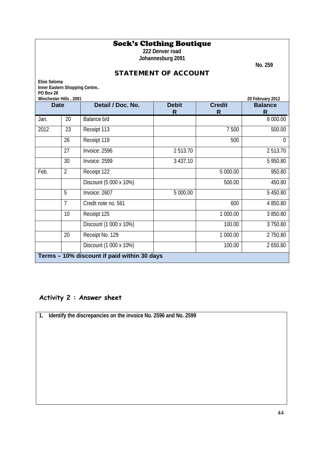## Sock's Clothing Boutique

**222 Denver road Johannesburg 2091**

 **No. 259**

## STATEMENT OF ACCOUNT

| <b>Elsie Seloma</b>                                                                 |                                             |                        |          |          |                |  |  |
|-------------------------------------------------------------------------------------|---------------------------------------------|------------------------|----------|----------|----------------|--|--|
| Inner Eastern Shopping Centre                                                       |                                             |                        |          |          |                |  |  |
| PO Box 28<br>Winchester Hills, 2091<br>20 February 2012                             |                                             |                        |          |          |                |  |  |
| Detail / Doc. No.<br><b>Debit</b><br><b>Credit</b><br><b>Balance</b><br><b>Date</b> |                                             |                        |          |          |                |  |  |
|                                                                                     |                                             |                        | R        | R        | R              |  |  |
| Jan.                                                                                | 20                                          | Balance b/d            |          |          | 8 000.00       |  |  |
| 2012                                                                                | 23                                          | Receipt 113            |          | 7 500    | 500.00         |  |  |
|                                                                                     | 26                                          | Receipt 119            |          | 500      | $\overline{0}$ |  |  |
|                                                                                     | 27                                          | Invoice: 2596          | 2513.70  |          | 2513.70        |  |  |
|                                                                                     | 30                                          | Invoice: 2599          | 3 437.10 |          | 5 950.80       |  |  |
| Feb.                                                                                | $\overline{2}$                              | Receipt 122            |          | 5 000.00 | 950.80         |  |  |
|                                                                                     |                                             | Discount (5 000 x 10%) |          | 500.00   | 450.80         |  |  |
|                                                                                     | 5                                           | Invoice: 2607          | 5 000.00 |          | 5 450.80       |  |  |
|                                                                                     | $\overline{7}$                              | Credit note no. 561    |          | 600      | 4850.80        |  |  |
|                                                                                     | 10 <sup>1</sup>                             | Receipt 125            |          | 1 000.00 | 3850.80        |  |  |
|                                                                                     |                                             | Discount (1 000 x 10%) |          | 100.00   | 3750.80        |  |  |
|                                                                                     | 20                                          | Receipt No. 129        |          | 1 000.00 | 2750.80        |  |  |
|                                                                                     |                                             | Discount (1 000 x 10%) |          | 100.00   | 2650.80        |  |  |
|                                                                                     | Terms - 10% discount if paid within 30 days |                        |          |          |                |  |  |

## **Activity 2 : Answer sheet**

**1. Identify the discrepancies on the invoice No. 2596 and No. 2599**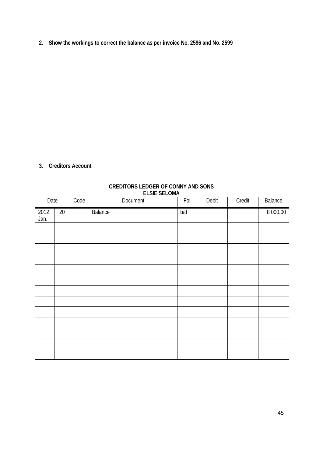**2. Show the workings to correct the balance as per invoice No. 2596 and No. 2599**

#### **3. Creditors Account**

| Date         |        | Code | <b>LLJIL JLLUIVIA</b><br>Document | Fol | Debit | Credit | Balance  |
|--------------|--------|------|-----------------------------------|-----|-------|--------|----------|
| 2012<br>Jan. | $20\,$ |      | Balance                           | p/q |       |        | 8 000.00 |
|              |        |      |                                   |     |       |        |          |
|              |        |      |                                   |     |       |        |          |
|              |        |      |                                   |     |       |        |          |
|              |        |      |                                   |     |       |        |          |
|              |        |      |                                   |     |       |        |          |
|              |        |      |                                   |     |       |        |          |
|              |        |      |                                   |     |       |        |          |
|              |        |      |                                   |     |       |        |          |
|              |        |      |                                   |     |       |        |          |
|              |        |      |                                   |     |       |        |          |
|              |        |      |                                   |     |       |        |          |
|              |        |      |                                   |     |       |        |          |
|              |        |      |                                   |     |       |        |          |

#### **CREDITORS LEDGER OF CONNY AND SONS ELSIE SELOMA**